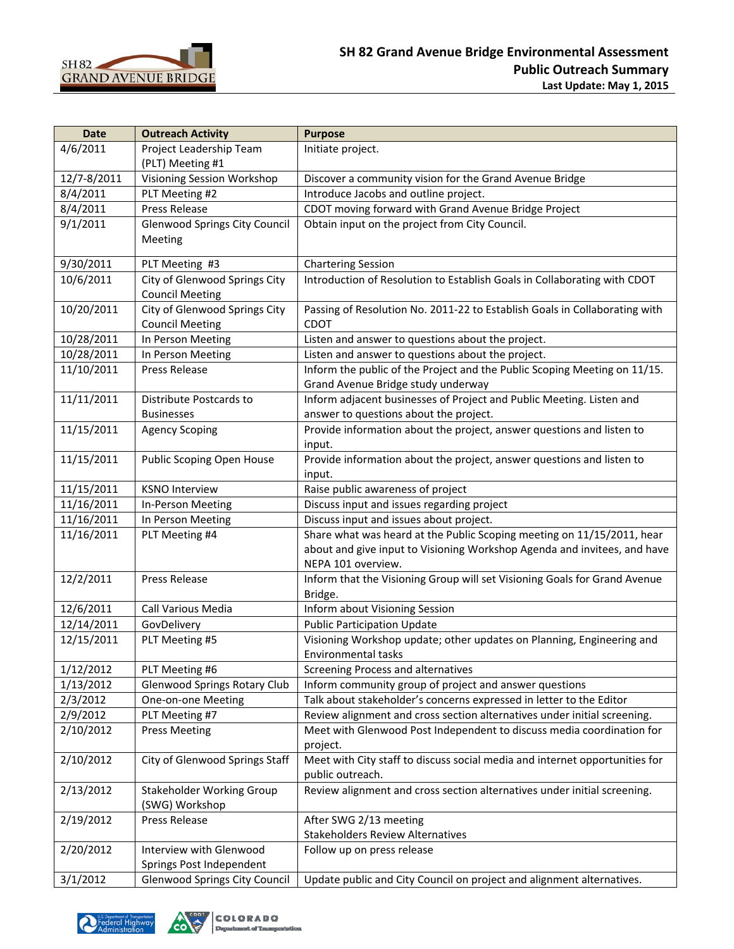

| <b>Date</b> | <b>Outreach Activity</b>             | <b>Purpose</b>                                                              |
|-------------|--------------------------------------|-----------------------------------------------------------------------------|
| 4/6/2011    | Project Leadership Team              | Initiate project.                                                           |
|             | (PLT) Meeting #1                     |                                                                             |
| 12/7-8/2011 | Visioning Session Workshop           | Discover a community vision for the Grand Avenue Bridge                     |
| 8/4/2011    | PLT Meeting #2                       | Introduce Jacobs and outline project.                                       |
| 8/4/2011    | Press Release                        | CDOT moving forward with Grand Avenue Bridge Project                        |
| 9/1/2011    | <b>Glenwood Springs City Council</b> | Obtain input on the project from City Council.                              |
|             | Meeting                              |                                                                             |
| 9/30/2011   | PLT Meeting #3                       | <b>Chartering Session</b>                                                   |
| 10/6/2011   | City of Glenwood Springs City        | Introduction of Resolution to Establish Goals in Collaborating with CDOT    |
|             | <b>Council Meeting</b>               |                                                                             |
| 10/20/2011  | City of Glenwood Springs City        | Passing of Resolution No. 2011-22 to Establish Goals in Collaborating with  |
|             | <b>Council Meeting</b>               | <b>CDOT</b>                                                                 |
| 10/28/2011  | In Person Meeting                    | Listen and answer to questions about the project.                           |
| 10/28/2011  | In Person Meeting                    | Listen and answer to questions about the project.                           |
| 11/10/2011  | Press Release                        | Inform the public of the Project and the Public Scoping Meeting on 11/15.   |
|             |                                      | Grand Avenue Bridge study underway                                          |
| 11/11/2011  | Distribute Postcards to              | Inform adjacent businesses of Project and Public Meeting. Listen and        |
|             | <b>Businesses</b>                    | answer to questions about the project.                                      |
| 11/15/2011  | <b>Agency Scoping</b>                | Provide information about the project, answer questions and listen to       |
|             |                                      | input.                                                                      |
| 11/15/2011  | Public Scoping Open House            | Provide information about the project, answer questions and listen to       |
|             |                                      | input.                                                                      |
| 11/15/2011  | <b>KSNO Interview</b>                | Raise public awareness of project                                           |
| 11/16/2011  | In-Person Meeting                    | Discuss input and issues regarding project                                  |
| 11/16/2011  | In Person Meeting                    | Discuss input and issues about project.                                     |
| 11/16/2011  | PLT Meeting #4                       | Share what was heard at the Public Scoping meeting on 11/15/2011, hear      |
|             |                                      | about and give input to Visioning Workshop Agenda and invitees, and have    |
|             |                                      | NEPA 101 overview.                                                          |
| 12/2/2011   | Press Release                        | Inform that the Visioning Group will set Visioning Goals for Grand Avenue   |
|             |                                      | Bridge.                                                                     |
| 12/6/2011   | Call Various Media                   | Inform about Visioning Session                                              |
| 12/14/2011  | GovDelivery                          | <b>Public Participation Update</b>                                          |
| 12/15/2011  | PLT Meeting #5                       | Visioning Workshop update; other updates on Planning, Engineering and       |
|             |                                      | <b>Environmental tasks</b>                                                  |
| 1/12/2012   | PLT Meeting #6                       | Screening Process and alternatives                                          |
| 1/13/2012   | <b>Glenwood Springs Rotary Club</b>  | Inform community group of project and answer questions                      |
| 2/3/2012    | One-on-one Meeting                   | Talk about stakeholder's concerns expressed in letter to the Editor         |
| 2/9/2012    | PLT Meeting #7                       | Review alignment and cross section alternatives under initial screening.    |
| 2/10/2012   | <b>Press Meeting</b>                 | Meet with Glenwood Post Independent to discuss media coordination for       |
|             |                                      | project.                                                                    |
| 2/10/2012   | City of Glenwood Springs Staff       | Meet with City staff to discuss social media and internet opportunities for |
|             |                                      | public outreach.                                                            |
| 2/13/2012   | <b>Stakeholder Working Group</b>     | Review alignment and cross section alternatives under initial screening.    |
|             | (SWG) Workshop                       |                                                                             |
| 2/19/2012   | Press Release                        | After SWG 2/13 meeting                                                      |
|             |                                      | <b>Stakeholders Review Alternatives</b>                                     |
| 2/20/2012   | Interview with Glenwood              | Follow up on press release                                                  |
|             | Springs Post Independent             |                                                                             |
| 3/1/2012    | <b>Glenwood Springs City Council</b> | Update public and City Council on project and alignment alternatives.       |

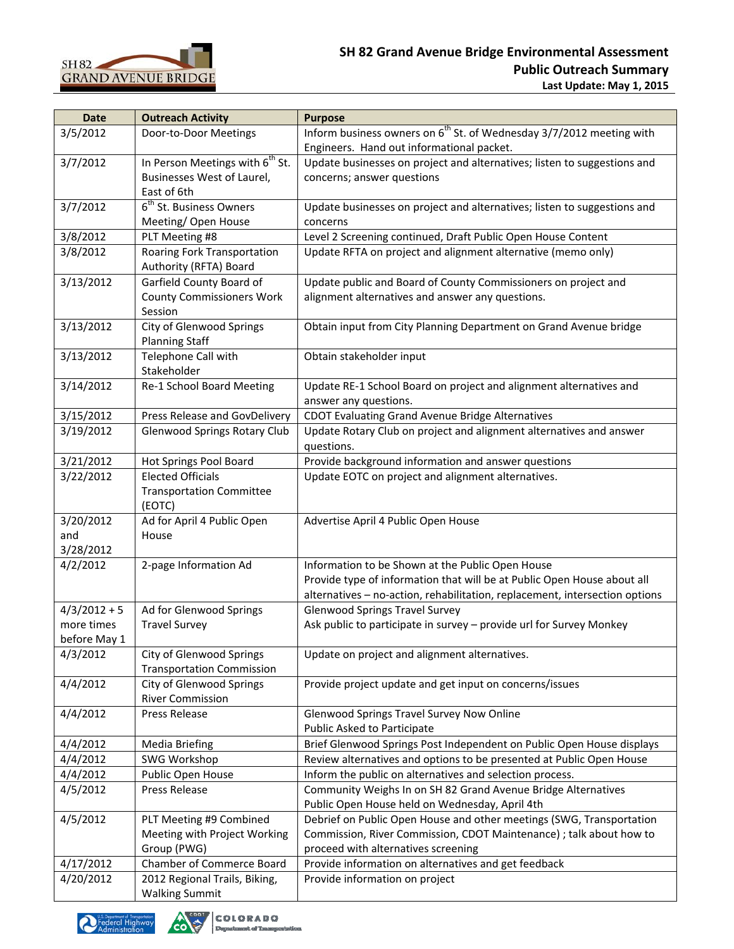

| <b>Date</b>    | <b>Outreach Activity</b>                           | <b>Purpose</b>                                                                   |
|----------------|----------------------------------------------------|----------------------------------------------------------------------------------|
| 3/5/2012       | Door-to-Door Meetings                              | Inform business owners on 6 <sup>th</sup> St. of Wednesday 3/7/2012 meeting with |
|                |                                                    | Engineers. Hand out informational packet.                                        |
| 3/7/2012       | In Person Meetings with 6 <sup>th</sup> St.        | Update businesses on project and alternatives; listen to suggestions and         |
|                | Businesses West of Laurel,                         | concerns; answer questions                                                       |
|                | East of 6th                                        |                                                                                  |
| 3/7/2012       | 6 <sup>th</sup> St. Business Owners                | Update businesses on project and alternatives; listen to suggestions and         |
|                | Meeting/ Open House                                | concerns                                                                         |
| 3/8/2012       | PLT Meeting #8                                     | Level 2 Screening continued, Draft Public Open House Content                     |
| 3/8/2012       | Roaring Fork Transportation                        | Update RFTA on project and alignment alternative (memo only)                     |
|                | Authority (RFTA) Board                             |                                                                                  |
| 3/13/2012      | Garfield County Board of                           | Update public and Board of County Commissioners on project and                   |
|                | <b>County Commissioners Work</b>                   | alignment alternatives and answer any questions.                                 |
|                | Session                                            |                                                                                  |
| 3/13/2012      | City of Glenwood Springs                           | Obtain input from City Planning Department on Grand Avenue bridge                |
|                | <b>Planning Staff</b>                              |                                                                                  |
| 3/13/2012      | Telephone Call with                                | Obtain stakeholder input                                                         |
|                | Stakeholder                                        |                                                                                  |
| 3/14/2012      | Re-1 School Board Meeting                          | Update RE-1 School Board on project and alignment alternatives and               |
|                |                                                    | answer any questions.                                                            |
| 3/15/2012      | Press Release and GovDelivery                      | CDOT Evaluating Grand Avenue Bridge Alternatives                                 |
| 3/19/2012      | <b>Glenwood Springs Rotary Club</b>                | Update Rotary Club on project and alignment alternatives and answer              |
|                |                                                    | questions.                                                                       |
| 3/21/2012      | Hot Springs Pool Board<br><b>Elected Officials</b> | Provide background information and answer questions                              |
| 3/22/2012      |                                                    | Update EOTC on project and alignment alternatives.                               |
|                | <b>Transportation Committee</b><br>(EOTC)          |                                                                                  |
| 3/20/2012      | Ad for April 4 Public Open                         | Advertise April 4 Public Open House                                              |
| and            | House                                              |                                                                                  |
| 3/28/2012      |                                                    |                                                                                  |
| 4/2/2012       | 2-page Information Ad                              | Information to be Shown at the Public Open House                                 |
|                |                                                    | Provide type of information that will be at Public Open House about all          |
|                |                                                    | alternatives - no-action, rehabilitation, replacement, intersection options      |
| $4/3/2012 + 5$ | Ad for Glenwood Springs                            | <b>Glenwood Springs Travel Survey</b>                                            |
| more times     | <b>Travel Survey</b>                               | Ask public to participate in survey - provide url for Survey Monkey              |
| before May 1   |                                                    |                                                                                  |
| 4/3/2012       | City of Glenwood Springs                           | Update on project and alignment alternatives.                                    |
|                | <b>Transportation Commission</b>                   |                                                                                  |
| 4/4/2012       | City of Glenwood Springs                           | Provide project update and get input on concerns/issues                          |
|                | <b>River Commission</b>                            |                                                                                  |
| 4/4/2012       | Press Release                                      | Glenwood Springs Travel Survey Now Online                                        |
|                |                                                    | Public Asked to Participate                                                      |
| 4/4/2012       | <b>Media Briefing</b>                              | Brief Glenwood Springs Post Independent on Public Open House displays            |
| 4/4/2012       | SWG Workshop                                       | Review alternatives and options to be presented at Public Open House             |
| 4/4/2012       | Public Open House                                  | Inform the public on alternatives and selection process.                         |
| 4/5/2012       | Press Release                                      | Community Weighs In on SH 82 Grand Avenue Bridge Alternatives                    |
|                |                                                    | Public Open House held on Wednesday, April 4th                                   |
| 4/5/2012       | PLT Meeting #9 Combined                            | Debrief on Public Open House and other meetings (SWG, Transportation             |
|                | Meeting with Project Working                       | Commission, River Commission, CDOT Maintenance) ; talk about how to              |
|                | Group (PWG)                                        | proceed with alternatives screening                                              |
| 4/17/2012      | Chamber of Commerce Board                          | Provide information on alternatives and get feedback                             |
| 4/20/2012      | 2012 Regional Trails, Biking,                      | Provide information on project                                                   |
|                | <b>Walking Summit</b>                              |                                                                                  |



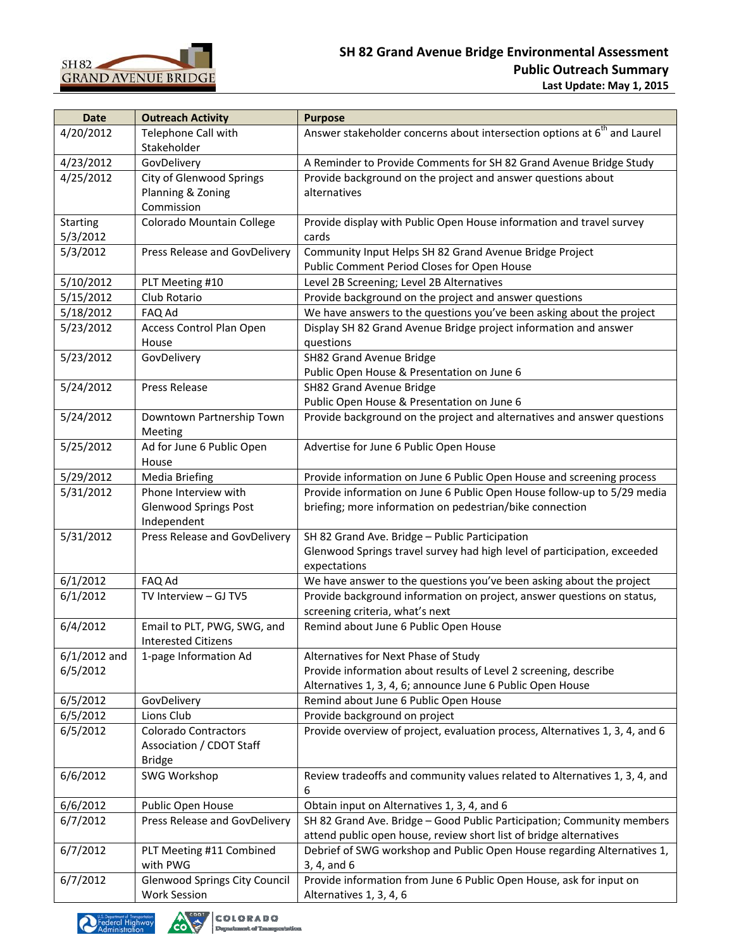

| <b>Date</b>     | <b>Outreach Activity</b>             | <b>Purpose</b>                                                                       |
|-----------------|--------------------------------------|--------------------------------------------------------------------------------------|
| 4/20/2012       | Telephone Call with                  | Answer stakeholder concerns about intersection options at 6 <sup>th</sup> and Laurel |
|                 | Stakeholder                          |                                                                                      |
| 4/23/2012       | GovDelivery                          | A Reminder to Provide Comments for SH 82 Grand Avenue Bridge Study                   |
| 4/25/2012       | City of Glenwood Springs             | Provide background on the project and answer questions about                         |
|                 | Planning & Zoning                    | alternatives                                                                         |
|                 | Commission                           |                                                                                      |
| <b>Starting</b> | Colorado Mountain College            | Provide display with Public Open House information and travel survey                 |
| 5/3/2012        |                                      | cards                                                                                |
| 5/3/2012        | Press Release and GovDelivery        | Community Input Helps SH 82 Grand Avenue Bridge Project                              |
|                 |                                      | Public Comment Period Closes for Open House                                          |
| 5/10/2012       | PLT Meeting #10                      | Level 2B Screening; Level 2B Alternatives                                            |
| 5/15/2012       | Club Rotario                         | Provide background on the project and answer questions                               |
| 5/18/2012       | FAQ Ad                               | We have answers to the questions you've been asking about the project                |
| 5/23/2012       | Access Control Plan Open             | Display SH 82 Grand Avenue Bridge project information and answer                     |
|                 | House                                | questions                                                                            |
| 5/23/2012       | GovDelivery                          | SH82 Grand Avenue Bridge                                                             |
|                 |                                      | Public Open House & Presentation on June 6                                           |
| 5/24/2012       | Press Release                        | SH82 Grand Avenue Bridge                                                             |
|                 |                                      | Public Open House & Presentation on June 6                                           |
| 5/24/2012       | Downtown Partnership Town            | Provide background on the project and alternatives and answer questions              |
|                 | Meeting                              |                                                                                      |
| 5/25/2012       | Ad for June 6 Public Open            | Advertise for June 6 Public Open House                                               |
|                 | House                                |                                                                                      |
| 5/29/2012       | <b>Media Briefing</b>                | Provide information on June 6 Public Open House and screening process                |
| 5/31/2012       | Phone Interview with                 | Provide information on June 6 Public Open House follow-up to 5/29 media              |
|                 | <b>Glenwood Springs Post</b>         | briefing; more information on pedestrian/bike connection                             |
|                 | Independent                          |                                                                                      |
| 5/31/2012       | Press Release and GovDelivery        | SH 82 Grand Ave. Bridge - Public Participation                                       |
|                 |                                      | Glenwood Springs travel survey had high level of participation, exceeded             |
|                 |                                      | expectations                                                                         |
| 6/1/2012        | FAQ Ad                               | We have answer to the questions you've been asking about the project                 |
| 6/1/2012        | TV Interview - GJ TV5                | Provide background information on project, answer questions on status,               |
|                 |                                      | screening criteria, what's next                                                      |
| 6/4/2012        | Email to PLT, PWG, SWG, and          | Remind about June 6 Public Open House                                                |
|                 | <b>Interested Citizens</b>           |                                                                                      |
| $6/1/2012$ and  | 1-page Information Ad                | Alternatives for Next Phase of Study                                                 |
| 6/5/2012        |                                      | Provide information about results of Level 2 screening, describe                     |
|                 |                                      | Alternatives 1, 3, 4, 6; announce June 6 Public Open House                           |
| 6/5/2012        | GovDelivery                          | Remind about June 6 Public Open House                                                |
| 6/5/2012        | Lions Club                           | Provide background on project                                                        |
| 6/5/2012        | <b>Colorado Contractors</b>          | Provide overview of project, evaluation process, Alternatives 1, 3, 4, and 6         |
|                 | Association / CDOT Staff             |                                                                                      |
|                 | <b>Bridge</b>                        |                                                                                      |
| 6/6/2012        | <b>SWG Workshop</b>                  | Review tradeoffs and community values related to Alternatives 1, 3, 4, and           |
|                 |                                      | 6                                                                                    |
| 6/6/2012        | Public Open House                    | Obtain input on Alternatives 1, 3, 4, and 6                                          |
| 6/7/2012        | Press Release and GovDelivery        | SH 82 Grand Ave. Bridge - Good Public Participation; Community members               |
|                 |                                      | attend public open house, review short list of bridge alternatives                   |
| 6/7/2012        | PLT Meeting #11 Combined             | Debrief of SWG workshop and Public Open House regarding Alternatives 1,              |
|                 | with PWG                             | 3, 4, and 6                                                                          |
| 6/7/2012        | <b>Glenwood Springs City Council</b> | Provide information from June 6 Public Open House, ask for input on                  |
|                 | <b>Work Session</b>                  | Alternatives 1, 3, 4, 6                                                              |

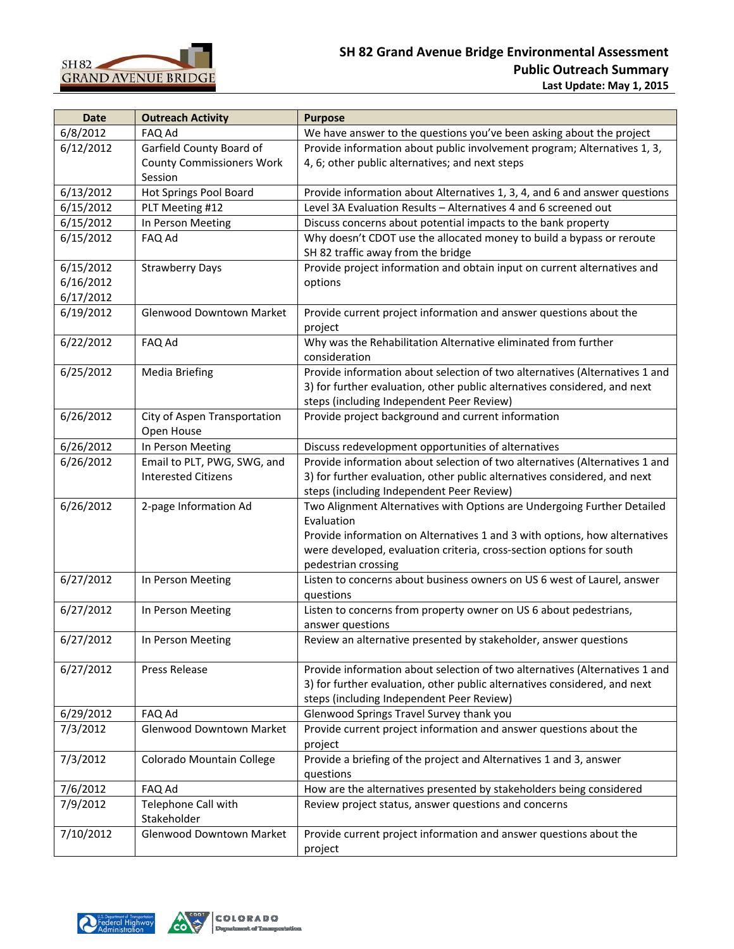

| <b>Date</b> | <b>Outreach Activity</b>         | <b>Purpose</b>                                                                |
|-------------|----------------------------------|-------------------------------------------------------------------------------|
| 6/8/2012    | FAQ Ad                           | We have answer to the questions you've been asking about the project          |
| 6/12/2012   | Garfield County Board of         | Provide information about public involvement program; Alternatives 1, 3,      |
|             | <b>County Commissioners Work</b> | 4, 6; other public alternatives; and next steps                               |
|             | Session                          |                                                                               |
| 6/13/2012   | Hot Springs Pool Board           | Provide information about Alternatives 1, 3, 4, and 6 and answer questions    |
| 6/15/2012   | PLT Meeting #12                  | Level 3A Evaluation Results - Alternatives 4 and 6 screened out               |
| 6/15/2012   | In Person Meeting                | Discuss concerns about potential impacts to the bank property                 |
| 6/15/2012   | FAQ Ad                           | Why doesn't CDOT use the allocated money to build a bypass or reroute         |
|             |                                  | SH 82 traffic away from the bridge                                            |
| 6/15/2012   | <b>Strawberry Days</b>           | Provide project information and obtain input on current alternatives and      |
| 6/16/2012   |                                  | options                                                                       |
| 6/17/2012   |                                  |                                                                               |
| 6/19/2012   | <b>Glenwood Downtown Market</b>  | Provide current project information and answer questions about the<br>project |
| 6/22/2012   | FAQ Ad                           | Why was the Rehabilitation Alternative eliminated from further                |
|             |                                  | consideration                                                                 |
| 6/25/2012   | <b>Media Briefing</b>            | Provide information about selection of two alternatives (Alternatives 1 and   |
|             |                                  | 3) for further evaluation, other public alternatives considered, and next     |
|             |                                  | steps (including Independent Peer Review)                                     |
| 6/26/2012   | City of Aspen Transportation     | Provide project background and current information                            |
|             | Open House                       |                                                                               |
| 6/26/2012   | In Person Meeting                | Discuss redevelopment opportunities of alternatives                           |
| 6/26/2012   | Email to PLT, PWG, SWG, and      | Provide information about selection of two alternatives (Alternatives 1 and   |
|             | <b>Interested Citizens</b>       | 3) for further evaluation, other public alternatives considered, and next     |
|             |                                  | steps (including Independent Peer Review)                                     |
| 6/26/2012   | 2-page Information Ad            | Two Alignment Alternatives with Options are Undergoing Further Detailed       |
|             |                                  | Evaluation                                                                    |
|             |                                  | Provide information on Alternatives 1 and 3 with options, how alternatives    |
|             |                                  | were developed, evaluation criteria, cross-section options for south          |
|             |                                  | pedestrian crossing                                                           |
| 6/27/2012   | In Person Meeting                | Listen to concerns about business owners on US 6 west of Laurel, answer       |
|             |                                  | questions                                                                     |
| 6/27/2012   | In Person Meeting                | Listen to concerns from property owner on US 6 about pedestrians,             |
|             |                                  | answer questions                                                              |
| 6/27/2012   | In Person Meeting                | Review an alternative presented by stakeholder, answer questions              |
| 6/27/2012   | Press Release                    | Provide information about selection of two alternatives (Alternatives 1 and   |
|             |                                  | 3) for further evaluation, other public alternatives considered, and next     |
|             |                                  | steps (including Independent Peer Review)                                     |
| 6/29/2012   | FAQ Ad                           | Glenwood Springs Travel Survey thank you                                      |
| 7/3/2012    | <b>Glenwood Downtown Market</b>  | Provide current project information and answer questions about the            |
|             |                                  | project                                                                       |
| 7/3/2012    | Colorado Mountain College        | Provide a briefing of the project and Alternatives 1 and 3, answer            |
|             |                                  | questions                                                                     |
| 7/6/2012    | FAQ Ad                           | How are the alternatives presented by stakeholders being considered           |
| 7/9/2012    | Telephone Call with              | Review project status, answer questions and concerns                          |
|             | Stakeholder                      |                                                                               |
| 7/10/2012   | <b>Glenwood Downtown Market</b>  | Provide current project information and answer questions about the            |
|             |                                  | project                                                                       |

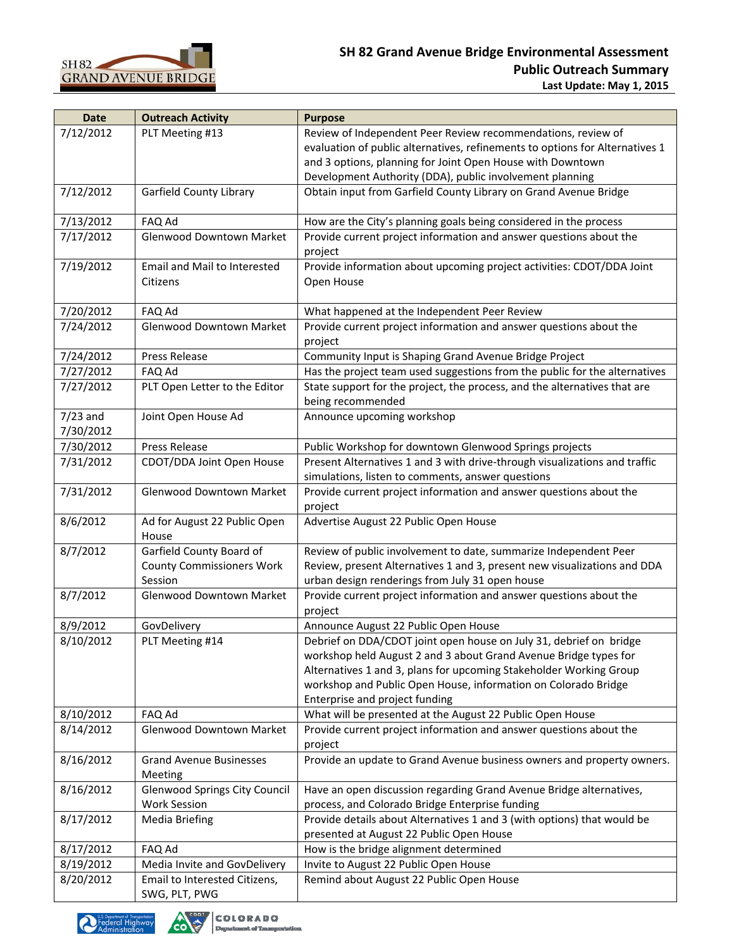

| <b>Date</b> | <b>Outreach Activity</b>                       | <b>Purpose</b>                                                                                 |
|-------------|------------------------------------------------|------------------------------------------------------------------------------------------------|
| 7/12/2012   | PLT Meeting #13                                | Review of Independent Peer Review recommendations, review of                                   |
|             |                                                | evaluation of public alternatives, refinements to options for Alternatives 1                   |
|             |                                                | and 3 options, planning for Joint Open House with Downtown                                     |
|             |                                                | Development Authority (DDA), public involvement planning                                       |
| 7/12/2012   | Garfield County Library                        | Obtain input from Garfield County Library on Grand Avenue Bridge                               |
| 7/13/2012   | FAQ Ad                                         | How are the City's planning goals being considered in the process                              |
| 7/17/2012   | Glenwood Downtown Market                       | Provide current project information and answer questions about the                             |
|             |                                                | project                                                                                        |
| 7/19/2012   | Email and Mail to Interested<br>Citizens       | Provide information about upcoming project activities: CDOT/DDA Joint<br>Open House            |
| 7/20/2012   | FAQ Ad                                         | What happened at the Independent Peer Review                                                   |
| 7/24/2012   | Glenwood Downtown Market                       | Provide current project information and answer questions about the<br>project                  |
| 7/24/2012   | Press Release                                  | Community Input is Shaping Grand Avenue Bridge Project                                         |
| 7/27/2012   | FAQ Ad                                         | Has the project team used suggestions from the public for the alternatives                     |
| 7/27/2012   | PLT Open Letter to the Editor                  | State support for the project, the process, and the alternatives that are<br>being recommended |
| $7/23$ and  | Joint Open House Ad                            | Announce upcoming workshop                                                                     |
| 7/30/2012   |                                                |                                                                                                |
| 7/30/2012   | Press Release                                  | Public Workshop for downtown Glenwood Springs projects                                         |
| 7/31/2012   | CDOT/DDA Joint Open House                      | Present Alternatives 1 and 3 with drive-through visualizations and traffic                     |
|             |                                                | simulations, listen to comments, answer questions                                              |
| 7/31/2012   | Glenwood Downtown Market                       | Provide current project information and answer questions about the<br>project                  |
| 8/6/2012    | Ad for August 22 Public Open<br>House          | Advertise August 22 Public Open House                                                          |
| 8/7/2012    | Garfield County Board of                       | Review of public involvement to date, summarize Independent Peer                               |
|             | <b>County Commissioners Work</b>               | Review, present Alternatives 1 and 3, present new visualizations and DDA                       |
|             | Session                                        | urban design renderings from July 31 open house                                                |
| 8/7/2012    | Glenwood Downtown Market                       | Provide current project information and answer questions about the<br>project                  |
| 8/9/2012    | GovDelivery                                    | Announce August 22 Public Open House                                                           |
| 8/10/2012   | PLT Meeting #14                                | Debrief on DDA/CDOT joint open house on July 31, debrief on bridge                             |
|             |                                                | workshop held August 2 and 3 about Grand Avenue Bridge types for                               |
|             |                                                | Alternatives 1 and 3, plans for upcoming Stakeholder Working Group                             |
|             |                                                | workshop and Public Open House, information on Colorado Bridge                                 |
|             |                                                | Enterprise and project funding                                                                 |
| 8/10/2012   | FAQ Ad                                         | What will be presented at the August 22 Public Open House                                      |
| 8/14/2012   | Glenwood Downtown Market                       | Provide current project information and answer questions about the                             |
|             |                                                | project                                                                                        |
| 8/16/2012   | <b>Grand Avenue Businesses</b><br>Meeting      | Provide an update to Grand Avenue business owners and property owners.                         |
| 8/16/2012   | <b>Glenwood Springs City Council</b>           | Have an open discussion regarding Grand Avenue Bridge alternatives,                            |
|             | <b>Work Session</b>                            | process, and Colorado Bridge Enterprise funding                                                |
| 8/17/2012   | Media Briefing                                 | Provide details about Alternatives 1 and 3 (with options) that would be                        |
|             |                                                | presented at August 22 Public Open House                                                       |
| 8/17/2012   | FAQ Ad                                         | How is the bridge alignment determined                                                         |
| 8/19/2012   | Media Invite and GovDelivery                   | Invite to August 22 Public Open House                                                          |
| 8/20/2012   | Email to Interested Citizens,<br>SWG, PLT, PWG | Remind about August 22 Public Open House                                                       |



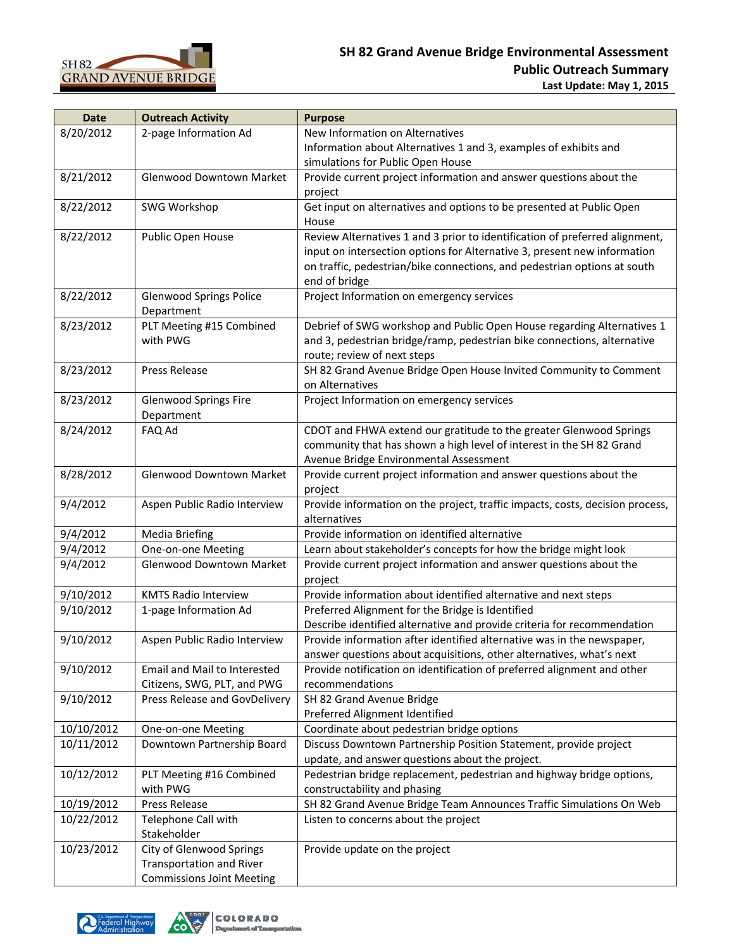

| <b>Date</b> | <b>Outreach Activity</b>         | <b>Purpose</b>                                                                |
|-------------|----------------------------------|-------------------------------------------------------------------------------|
| 8/20/2012   | 2-page Information Ad            | New Information on Alternatives                                               |
|             |                                  | Information about Alternatives 1 and 3, examples of exhibits and              |
|             |                                  | simulations for Public Open House                                             |
| 8/21/2012   | Glenwood Downtown Market         | Provide current project information and answer questions about the            |
|             |                                  | project                                                                       |
| 8/22/2012   | SWG Workshop                     | Get input on alternatives and options to be presented at Public Open          |
|             |                                  | House                                                                         |
| 8/22/2012   | Public Open House                | Review Alternatives 1 and 3 prior to identification of preferred alignment,   |
|             |                                  | input on intersection options for Alternative 3, present new information      |
|             |                                  | on traffic, pedestrian/bike connections, and pedestrian options at south      |
|             |                                  | end of bridge                                                                 |
| 8/22/2012   | <b>Glenwood Springs Police</b>   | Project Information on emergency services                                     |
|             | Department                       |                                                                               |
| 8/23/2012   | PLT Meeting #15 Combined         | Debrief of SWG workshop and Public Open House regarding Alternatives 1        |
|             | with PWG                         | and 3, pedestrian bridge/ramp, pedestrian bike connections, alternative       |
|             |                                  | route; review of next steps                                                   |
| 8/23/2012   | Press Release                    | SH 82 Grand Avenue Bridge Open House Invited Community to Comment             |
|             |                                  | on Alternatives                                                               |
| 8/23/2012   | Glenwood Springs Fire            | Project Information on emergency services                                     |
|             | Department                       |                                                                               |
| 8/24/2012   | FAQ Ad                           | CDOT and FHWA extend our gratitude to the greater Glenwood Springs            |
|             |                                  | community that has shown a high level of interest in the SH 82 Grand          |
|             |                                  | Avenue Bridge Environmental Assessment                                        |
| 8/28/2012   | Glenwood Downtown Market         | Provide current project information and answer questions about the            |
|             |                                  | project                                                                       |
| 9/4/2012    | Aspen Public Radio Interview     | Provide information on the project, traffic impacts, costs, decision process, |
|             |                                  | alternatives                                                                  |
| 9/4/2012    | <b>Media Briefing</b>            | Provide information on identified alternative                                 |
| 9/4/2012    | One-on-one Meeting               | Learn about stakeholder's concepts for how the bridge might look              |
| 9/4/2012    | Glenwood Downtown Market         | Provide current project information and answer questions about the            |
|             |                                  | project                                                                       |
| 9/10/2012   | <b>KMTS Radio Interview</b>      | Provide information about identified alternative and next steps               |
| 9/10/2012   | 1-page Information Ad            | Preferred Alignment for the Bridge is Identified                              |
|             |                                  | Describe identified alternative and provide criteria for recommendation       |
| 9/10/2012   | Aspen Public Radio Interview     | Provide information after identified alternative was in the newspaper,        |
|             |                                  | answer questions about acquisitions, other alternatives, what's next          |
| 9/10/2012   | Email and Mail to Interested     | Provide notification on identification of preferred alignment and other       |
|             | Citizens, SWG, PLT, and PWG      | recommendations                                                               |
| 9/10/2012   | Press Release and GovDelivery    | SH 82 Grand Avenue Bridge                                                     |
|             |                                  | Preferred Alignment Identified                                                |
| 10/10/2012  | One-on-one Meeting               | Coordinate about pedestrian bridge options                                    |
| 10/11/2012  | Downtown Partnership Board       | Discuss Downtown Partnership Position Statement, provide project              |
|             |                                  | update, and answer questions about the project.                               |
| 10/12/2012  | PLT Meeting #16 Combined         | Pedestrian bridge replacement, pedestrian and highway bridge options,         |
|             | with PWG                         | constructability and phasing                                                  |
| 10/19/2012  | Press Release                    | SH 82 Grand Avenue Bridge Team Announces Traffic Simulations On Web           |
| 10/22/2012  | Telephone Call with              | Listen to concerns about the project                                          |
|             | Stakeholder                      |                                                                               |
| 10/23/2012  | City of Glenwood Springs         | Provide update on the project                                                 |
|             | Transportation and River         |                                                                               |
|             | <b>Commissions Joint Meeting</b> |                                                                               |



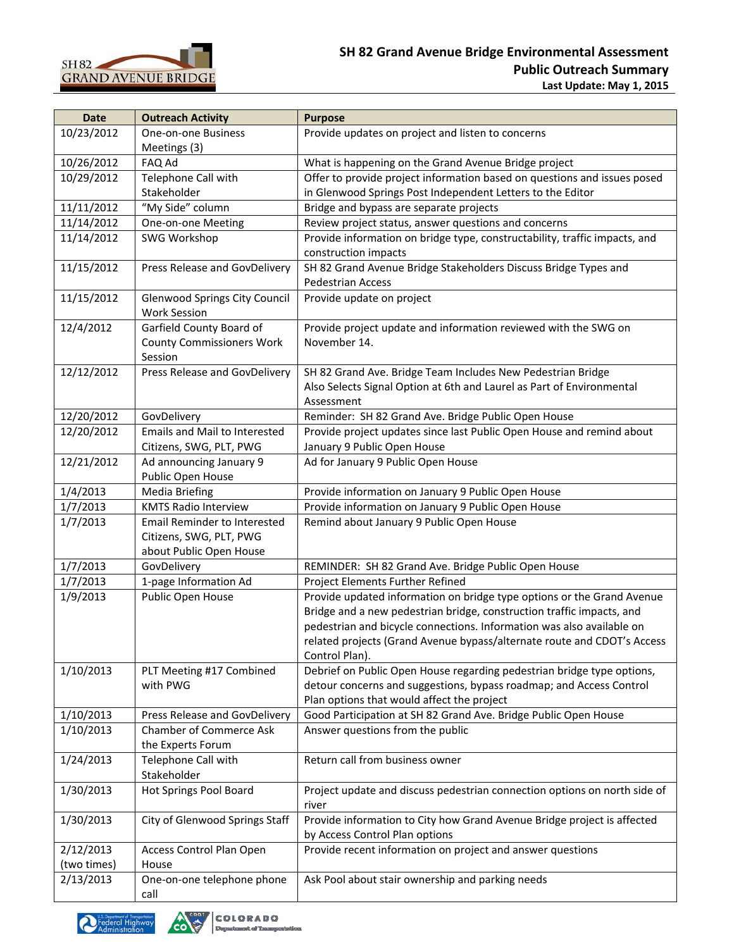

| <b>Date</b> | <b>Outreach Activity</b>               | <b>Purpose</b>                                                                                     |
|-------------|----------------------------------------|----------------------------------------------------------------------------------------------------|
| 10/23/2012  | One-on-one Business                    | Provide updates on project and listen to concerns                                                  |
|             | Meetings (3)                           |                                                                                                    |
| 10/26/2012  | FAQ Ad                                 | What is happening on the Grand Avenue Bridge project                                               |
| 10/29/2012  | Telephone Call with                    | Offer to provide project information based on questions and issues posed                           |
|             | Stakeholder                            | in Glenwood Springs Post Independent Letters to the Editor                                         |
| 11/11/2012  | "My Side" column                       | Bridge and bypass are separate projects                                                            |
| 11/14/2012  | One-on-one Meeting                     | Review project status, answer questions and concerns                                               |
| 11/14/2012  | SWG Workshop                           | Provide information on bridge type, constructability, traffic impacts, and<br>construction impacts |
| 11/15/2012  | Press Release and GovDelivery          | SH 82 Grand Avenue Bridge Stakeholders Discuss Bridge Types and                                    |
|             |                                        | <b>Pedestrian Access</b>                                                                           |
| 11/15/2012  | <b>Glenwood Springs City Council</b>   | Provide update on project                                                                          |
|             | <b>Work Session</b>                    |                                                                                                    |
| 12/4/2012   | Garfield County Board of               | Provide project update and information reviewed with the SWG on                                    |
|             | <b>County Commissioners Work</b>       | November 14.                                                                                       |
|             | Session                                |                                                                                                    |
| 12/12/2012  | Press Release and GovDelivery          | SH 82 Grand Ave. Bridge Team Includes New Pedestrian Bridge                                        |
|             |                                        | Also Selects Signal Option at 6th and Laurel as Part of Environmental                              |
|             |                                        | Assessment                                                                                         |
| 12/20/2012  | GovDelivery                            | Reminder: SH 82 Grand Ave. Bridge Public Open House                                                |
| 12/20/2012  | <b>Emails and Mail to Interested</b>   | Provide project updates since last Public Open House and remind about                              |
|             | Citizens, SWG, PLT, PWG                | January 9 Public Open House                                                                        |
| 12/21/2012  | Ad announcing January 9                | Ad for January 9 Public Open House                                                                 |
|             | Public Open House                      |                                                                                                    |
| 1/4/2013    | <b>Media Briefing</b>                  | Provide information on January 9 Public Open House                                                 |
| 1/7/2013    | <b>KMTS Radio Interview</b>            | Provide information on January 9 Public Open House                                                 |
| 1/7/2013    | <b>Email Reminder to Interested</b>    | Remind about January 9 Public Open House                                                           |
|             | Citizens, SWG, PLT, PWG                |                                                                                                    |
| 1/7/2013    | about Public Open House<br>GovDelivery | REMINDER: SH 82 Grand Ave. Bridge Public Open House                                                |
| 1/7/2013    | 1-page Information Ad                  | Project Elements Further Refined                                                                   |
| 1/9/2013    | Public Open House                      | Provide updated information on bridge type options or the Grand Avenue                             |
|             |                                        | Bridge and a new pedestrian bridge, construction traffic impacts, and                              |
|             |                                        | pedestrian and bicycle connections. Information was also available on                              |
|             |                                        | related projects (Grand Avenue bypass/alternate route and CDOT's Access                            |
|             |                                        | Control Plan).                                                                                     |
| 1/10/2013   | PLT Meeting #17 Combined               | Debrief on Public Open House regarding pedestrian bridge type options,                             |
|             | with PWG                               | detour concerns and suggestions, bypass roadmap; and Access Control                                |
|             |                                        | Plan options that would affect the project                                                         |
| 1/10/2013   | Press Release and GovDelivery          | Good Participation at SH 82 Grand Ave. Bridge Public Open House                                    |
| 1/10/2013   | Chamber of Commerce Ask                | Answer questions from the public                                                                   |
|             | the Experts Forum                      |                                                                                                    |
| 1/24/2013   | Telephone Call with                    | Return call from business owner                                                                    |
|             | Stakeholder                            |                                                                                                    |
| 1/30/2013   | Hot Springs Pool Board                 | Project update and discuss pedestrian connection options on north side of                          |
| 1/30/2013   | City of Glenwood Springs Staff         | river<br>Provide information to City how Grand Avenue Bridge project is affected                   |
|             |                                        | by Access Control Plan options                                                                     |
| 2/12/2013   | Access Control Plan Open               | Provide recent information on project and answer questions                                         |
| (two times) | House                                  |                                                                                                    |
| 2/13/2013   | One-on-one telephone phone             | Ask Pool about stair ownership and parking needs                                                   |
|             | call                                   |                                                                                                    |



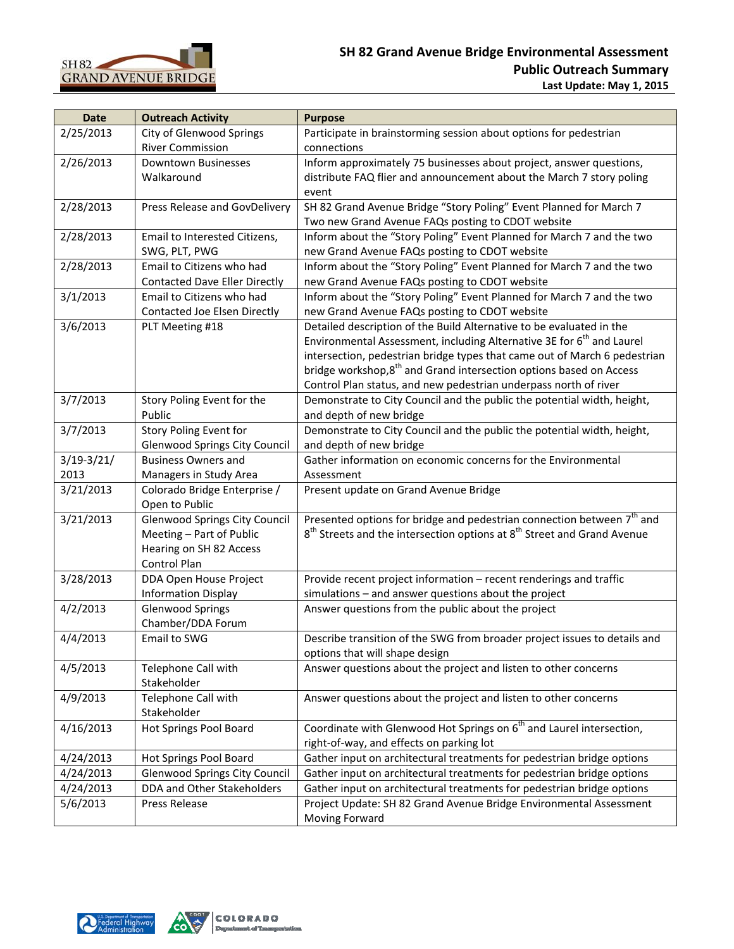

| <b>Date</b>    | <b>Outreach Activity</b>             | <b>Purpose</b>                                                                                  |
|----------------|--------------------------------------|-------------------------------------------------------------------------------------------------|
| 2/25/2013      | City of Glenwood Springs             | Participate in brainstorming session about options for pedestrian                               |
|                | <b>River Commission</b>              | connections                                                                                     |
| 2/26/2013      | <b>Downtown Businesses</b>           | Inform approximately 75 businesses about project, answer questions,                             |
|                | Walkaround                           | distribute FAQ flier and announcement about the March 7 story poling                            |
|                |                                      | event                                                                                           |
| 2/28/2013      | Press Release and GovDelivery        | SH 82 Grand Avenue Bridge "Story Poling" Event Planned for March 7                              |
|                |                                      | Two new Grand Avenue FAQs posting to CDOT website                                               |
| 2/28/2013      | Email to Interested Citizens,        | Inform about the "Story Poling" Event Planned for March 7 and the two                           |
|                | SWG, PLT, PWG                        | new Grand Avenue FAQs posting to CDOT website                                                   |
| 2/28/2013      | Email to Citizens who had            | Inform about the "Story Poling" Event Planned for March 7 and the two                           |
|                | <b>Contacted Dave Eller Directly</b> | new Grand Avenue FAQs posting to CDOT website                                                   |
| 3/1/2013       | Email to Citizens who had            | Inform about the "Story Poling" Event Planned for March 7 and the two                           |
|                | Contacted Joe Elsen Directly         | new Grand Avenue FAQs posting to CDOT website                                                   |
| 3/6/2013       | PLT Meeting #18                      | Detailed description of the Build Alternative to be evaluated in the                            |
|                |                                      | Environmental Assessment, including Alternative 3E for 6 <sup>th</sup> and Laurel               |
|                |                                      | intersection, pedestrian bridge types that came out of March 6 pedestrian                       |
|                |                                      | bridge workshop,8 <sup>th</sup> and Grand intersection options based on Access                  |
|                |                                      | Control Plan status, and new pedestrian underpass north of river                                |
| 3/7/2013       | Story Poling Event for the           | Demonstrate to City Council and the public the potential width, height,                         |
|                | Public                               | and depth of new bridge                                                                         |
| 3/7/2013       | Story Poling Event for               | Demonstrate to City Council and the public the potential width, height,                         |
|                | <b>Glenwood Springs City Council</b> | and depth of new bridge                                                                         |
| $3/19 - 3/21/$ | <b>Business Owners and</b>           | Gather information on economic concerns for the Environmental                                   |
| 2013           | Managers in Study Area               | Assessment                                                                                      |
| 3/21/2013      | Colorado Bridge Enterprise /         | Present update on Grand Avenue Bridge                                                           |
|                | Open to Public                       |                                                                                                 |
| 3/21/2013      | <b>Glenwood Springs City Council</b> | Presented options for bridge and pedestrian connection between 7 <sup>th</sup> and              |
|                | Meeting - Part of Public             | 8 <sup>th</sup> Streets and the intersection options at 8 <sup>th</sup> Street and Grand Avenue |
|                | Hearing on SH 82 Access              |                                                                                                 |
|                | Control Plan                         |                                                                                                 |
| 3/28/2013      | DDA Open House Project               | Provide recent project information - recent renderings and traffic                              |
|                | <b>Information Display</b>           | simulations - and answer questions about the project                                            |
| 4/2/2013       | <b>Glenwood Springs</b>              | Answer questions from the public about the project                                              |
|                | Chamber/DDA Forum                    |                                                                                                 |
| 4/4/2013       | Email to SWG                         | Describe transition of the SWG from broader project issues to details and                       |
|                |                                      | options that will shape design                                                                  |
| 4/5/2013       | Telephone Call with                  | Answer questions about the project and listen to other concerns                                 |
|                | Stakeholder                          |                                                                                                 |
| 4/9/2013       | Telephone Call with                  | Answer questions about the project and listen to other concerns                                 |
|                | Stakeholder                          |                                                                                                 |
| 4/16/2013      | Hot Springs Pool Board               | Coordinate with Glenwood Hot Springs on 6 <sup>th</sup> and Laurel intersection,                |
|                |                                      | right-of-way, and effects on parking lot                                                        |
| 4/24/2013      | Hot Springs Pool Board               | Gather input on architectural treatments for pedestrian bridge options                          |
| 4/24/2013      | <b>Glenwood Springs City Council</b> | Gather input on architectural treatments for pedestrian bridge options                          |
| 4/24/2013      | DDA and Other Stakeholders           | Gather input on architectural treatments for pedestrian bridge options                          |
| 5/6/2013       | Press Release                        | Project Update: SH 82 Grand Avenue Bridge Environmental Assessment                              |
|                |                                      | Moving Forward                                                                                  |

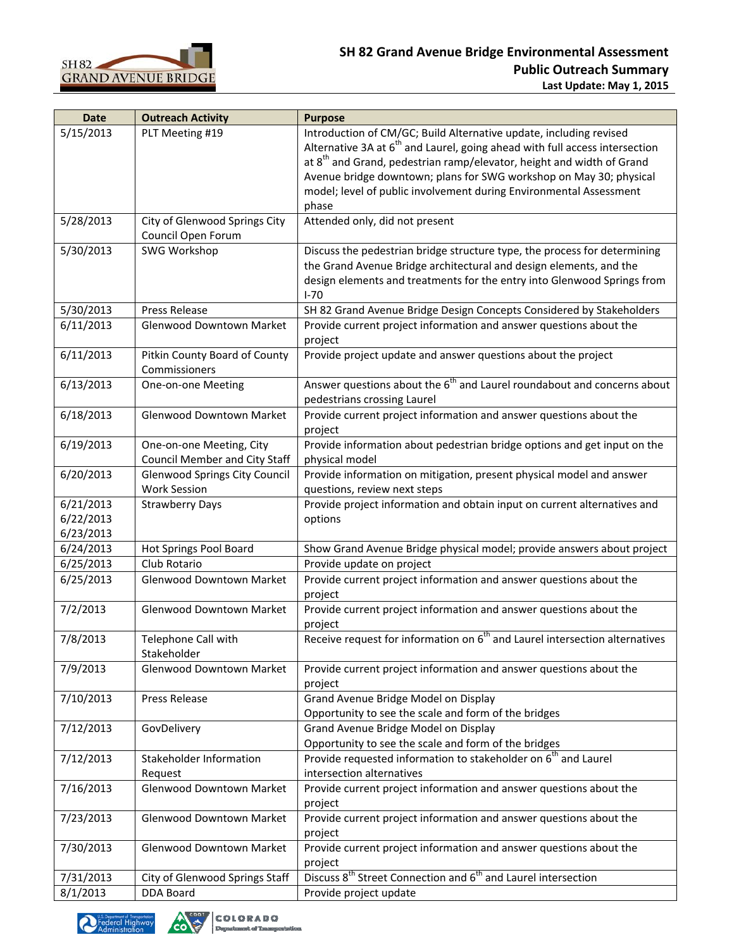

| 5/15/2013<br>PLT Meeting #19<br>Alternative 3A at 6 <sup>th</sup> and Laurel, going ahead with full access intersection<br>at 8 <sup>th</sup> and Grand, pedestrian ramp/elevator, height and width of Grand<br>Avenue bridge downtown; plans for SWG workshop on May 30; physical<br>model; level of public involvement during Environmental Assessment<br>phase<br>5/28/2013<br>Attended only, did not present<br>City of Glenwood Springs City<br>Council Open Forum<br>5/30/2013<br>SWG Workshop<br>Discuss the pedestrian bridge structure type, the process for determining<br>the Grand Avenue Bridge architectural and design elements, and the<br>design elements and treatments for the entry into Glenwood Springs from<br>$I - 70$<br>5/30/2013<br>Press Release<br>SH 82 Grand Avenue Bridge Design Concepts Considered by Stakeholders<br>Provide current project information and answer questions about the<br>6/11/2013<br>Glenwood Downtown Market<br>project<br>6/11/2013<br>Pitkin County Board of County<br>Provide project update and answer questions about the project<br>Commissioners<br>Answer questions about the 6 <sup>th</sup> and Laurel roundabout and concerns about<br>6/13/2013<br>One-on-one Meeting<br>pedestrians crossing Laurel<br>6/18/2013<br>Glenwood Downtown Market<br>Provide current project information and answer questions about the<br>project<br>6/19/2013<br>Provide information about pedestrian bridge options and get input on the<br>One-on-one Meeting, City<br>Council Member and City Staff<br>physical model<br>6/20/2013<br>Provide information on mitigation, present physical model and answer<br><b>Glenwood Springs City Council</b><br><b>Work Session</b><br>questions, review next steps<br>6/21/2013<br><b>Strawberry Days</b><br>Provide project information and obtain input on current alternatives and<br>6/22/2013<br>options<br>6/23/2013<br>Show Grand Avenue Bridge physical model; provide answers about project<br>6/24/2013<br>Hot Springs Pool Board<br>6/25/2013<br>Club Rotario<br>Provide update on project<br>6/25/2013<br>Glenwood Downtown Market<br>Provide current project information and answer questions about the<br>project<br>7/2/2013<br>Provide current project information and answer questions about the<br>Glenwood Downtown Market<br>project<br>Receive request for information on 6 <sup>th</sup> and Laurel intersection alternatives<br>7/8/2013<br>Telephone Call with<br>Stakeholder<br>Provide current project information and answer questions about the<br>7/9/2013<br><b>Glenwood Downtown Market</b><br>project<br>7/10/2013<br>Grand Avenue Bridge Model on Display<br>Press Release<br>Opportunity to see the scale and form of the bridges<br>Grand Avenue Bridge Model on Display<br>7/12/2013<br>GovDelivery<br>Opportunity to see the scale and form of the bridges<br>Provide requested information to stakeholder on 6 <sup>th</sup> and Laurel<br>7/12/2013<br>Stakeholder Information<br>intersection alternatives<br>Request<br>Provide current project information and answer questions about the<br>7/16/2013<br>Glenwood Downtown Market<br>project<br>7/23/2013<br>Provide current project information and answer questions about the<br>Glenwood Downtown Market<br>project<br>Provide current project information and answer questions about the<br>7/30/2013<br>Glenwood Downtown Market<br>project<br>Discuss 8 <sup>th</sup> Street Connection and 6 <sup>th</sup> and Laurel intersection<br>7/31/2013<br>City of Glenwood Springs Staff<br>8/1/2013<br>DDA Board<br>Provide project update | <b>Date</b> | <b>Outreach Activity</b> | <b>Purpose</b>                                                     |
|-----------------------------------------------------------------------------------------------------------------------------------------------------------------------------------------------------------------------------------------------------------------------------------------------------------------------------------------------------------------------------------------------------------------------------------------------------------------------------------------------------------------------------------------------------------------------------------------------------------------------------------------------------------------------------------------------------------------------------------------------------------------------------------------------------------------------------------------------------------------------------------------------------------------------------------------------------------------------------------------------------------------------------------------------------------------------------------------------------------------------------------------------------------------------------------------------------------------------------------------------------------------------------------------------------------------------------------------------------------------------------------------------------------------------------------------------------------------------------------------------------------------------------------------------------------------------------------------------------------------------------------------------------------------------------------------------------------------------------------------------------------------------------------------------------------------------------------------------------------------------------------------------------------------------------------------------------------------------------------------------------------------------------------------------------------------------------------------------------------------------------------------------------------------------------------------------------------------------------------------------------------------------------------------------------------------------------------------------------------------------------------------------------------------------------------------------------------------------------------------------------------------------------------------------------------------------------------------------------------------------------------------------------------------------------------------------------------------------------------------------------------------------------------------------------------------------------------------------------------------------------------------------------------------------------------------------------------------------------------------------------------------------------------------------------------------------------------------------------------------------------------------------------------------------------------------------------------------------------------------------------------------------------------------------------------------------------------------------------------------------------------------------------------------------------------------------------------------------------------------------------------------------------------------------------------------------------------------------------------------------------------|-------------|--------------------------|--------------------------------------------------------------------|
|                                                                                                                                                                                                                                                                                                                                                                                                                                                                                                                                                                                                                                                                                                                                                                                                                                                                                                                                                                                                                                                                                                                                                                                                                                                                                                                                                                                                                                                                                                                                                                                                                                                                                                                                                                                                                                                                                                                                                                                                                                                                                                                                                                                                                                                                                                                                                                                                                                                                                                                                                                                                                                                                                                                                                                                                                                                                                                                                                                                                                                                                                                                                                                                                                                                                                                                                                                                                                                                                                                                                                                                                                                   |             |                          | Introduction of CM/GC; Build Alternative update, including revised |
|                                                                                                                                                                                                                                                                                                                                                                                                                                                                                                                                                                                                                                                                                                                                                                                                                                                                                                                                                                                                                                                                                                                                                                                                                                                                                                                                                                                                                                                                                                                                                                                                                                                                                                                                                                                                                                                                                                                                                                                                                                                                                                                                                                                                                                                                                                                                                                                                                                                                                                                                                                                                                                                                                                                                                                                                                                                                                                                                                                                                                                                                                                                                                                                                                                                                                                                                                                                                                                                                                                                                                                                                                                   |             |                          |                                                                    |
|                                                                                                                                                                                                                                                                                                                                                                                                                                                                                                                                                                                                                                                                                                                                                                                                                                                                                                                                                                                                                                                                                                                                                                                                                                                                                                                                                                                                                                                                                                                                                                                                                                                                                                                                                                                                                                                                                                                                                                                                                                                                                                                                                                                                                                                                                                                                                                                                                                                                                                                                                                                                                                                                                                                                                                                                                                                                                                                                                                                                                                                                                                                                                                                                                                                                                                                                                                                                                                                                                                                                                                                                                                   |             |                          |                                                                    |
|                                                                                                                                                                                                                                                                                                                                                                                                                                                                                                                                                                                                                                                                                                                                                                                                                                                                                                                                                                                                                                                                                                                                                                                                                                                                                                                                                                                                                                                                                                                                                                                                                                                                                                                                                                                                                                                                                                                                                                                                                                                                                                                                                                                                                                                                                                                                                                                                                                                                                                                                                                                                                                                                                                                                                                                                                                                                                                                                                                                                                                                                                                                                                                                                                                                                                                                                                                                                                                                                                                                                                                                                                                   |             |                          |                                                                    |
|                                                                                                                                                                                                                                                                                                                                                                                                                                                                                                                                                                                                                                                                                                                                                                                                                                                                                                                                                                                                                                                                                                                                                                                                                                                                                                                                                                                                                                                                                                                                                                                                                                                                                                                                                                                                                                                                                                                                                                                                                                                                                                                                                                                                                                                                                                                                                                                                                                                                                                                                                                                                                                                                                                                                                                                                                                                                                                                                                                                                                                                                                                                                                                                                                                                                                                                                                                                                                                                                                                                                                                                                                                   |             |                          |                                                                    |
|                                                                                                                                                                                                                                                                                                                                                                                                                                                                                                                                                                                                                                                                                                                                                                                                                                                                                                                                                                                                                                                                                                                                                                                                                                                                                                                                                                                                                                                                                                                                                                                                                                                                                                                                                                                                                                                                                                                                                                                                                                                                                                                                                                                                                                                                                                                                                                                                                                                                                                                                                                                                                                                                                                                                                                                                                                                                                                                                                                                                                                                                                                                                                                                                                                                                                                                                                                                                                                                                                                                                                                                                                                   |             |                          |                                                                    |
|                                                                                                                                                                                                                                                                                                                                                                                                                                                                                                                                                                                                                                                                                                                                                                                                                                                                                                                                                                                                                                                                                                                                                                                                                                                                                                                                                                                                                                                                                                                                                                                                                                                                                                                                                                                                                                                                                                                                                                                                                                                                                                                                                                                                                                                                                                                                                                                                                                                                                                                                                                                                                                                                                                                                                                                                                                                                                                                                                                                                                                                                                                                                                                                                                                                                                                                                                                                                                                                                                                                                                                                                                                   |             |                          |                                                                    |
|                                                                                                                                                                                                                                                                                                                                                                                                                                                                                                                                                                                                                                                                                                                                                                                                                                                                                                                                                                                                                                                                                                                                                                                                                                                                                                                                                                                                                                                                                                                                                                                                                                                                                                                                                                                                                                                                                                                                                                                                                                                                                                                                                                                                                                                                                                                                                                                                                                                                                                                                                                                                                                                                                                                                                                                                                                                                                                                                                                                                                                                                                                                                                                                                                                                                                                                                                                                                                                                                                                                                                                                                                                   |             |                          |                                                                    |
|                                                                                                                                                                                                                                                                                                                                                                                                                                                                                                                                                                                                                                                                                                                                                                                                                                                                                                                                                                                                                                                                                                                                                                                                                                                                                                                                                                                                                                                                                                                                                                                                                                                                                                                                                                                                                                                                                                                                                                                                                                                                                                                                                                                                                                                                                                                                                                                                                                                                                                                                                                                                                                                                                                                                                                                                                                                                                                                                                                                                                                                                                                                                                                                                                                                                                                                                                                                                                                                                                                                                                                                                                                   |             |                          |                                                                    |
|                                                                                                                                                                                                                                                                                                                                                                                                                                                                                                                                                                                                                                                                                                                                                                                                                                                                                                                                                                                                                                                                                                                                                                                                                                                                                                                                                                                                                                                                                                                                                                                                                                                                                                                                                                                                                                                                                                                                                                                                                                                                                                                                                                                                                                                                                                                                                                                                                                                                                                                                                                                                                                                                                                                                                                                                                                                                                                                                                                                                                                                                                                                                                                                                                                                                                                                                                                                                                                                                                                                                                                                                                                   |             |                          |                                                                    |
|                                                                                                                                                                                                                                                                                                                                                                                                                                                                                                                                                                                                                                                                                                                                                                                                                                                                                                                                                                                                                                                                                                                                                                                                                                                                                                                                                                                                                                                                                                                                                                                                                                                                                                                                                                                                                                                                                                                                                                                                                                                                                                                                                                                                                                                                                                                                                                                                                                                                                                                                                                                                                                                                                                                                                                                                                                                                                                                                                                                                                                                                                                                                                                                                                                                                                                                                                                                                                                                                                                                                                                                                                                   |             |                          |                                                                    |
|                                                                                                                                                                                                                                                                                                                                                                                                                                                                                                                                                                                                                                                                                                                                                                                                                                                                                                                                                                                                                                                                                                                                                                                                                                                                                                                                                                                                                                                                                                                                                                                                                                                                                                                                                                                                                                                                                                                                                                                                                                                                                                                                                                                                                                                                                                                                                                                                                                                                                                                                                                                                                                                                                                                                                                                                                                                                                                                                                                                                                                                                                                                                                                                                                                                                                                                                                                                                                                                                                                                                                                                                                                   |             |                          |                                                                    |
|                                                                                                                                                                                                                                                                                                                                                                                                                                                                                                                                                                                                                                                                                                                                                                                                                                                                                                                                                                                                                                                                                                                                                                                                                                                                                                                                                                                                                                                                                                                                                                                                                                                                                                                                                                                                                                                                                                                                                                                                                                                                                                                                                                                                                                                                                                                                                                                                                                                                                                                                                                                                                                                                                                                                                                                                                                                                                                                                                                                                                                                                                                                                                                                                                                                                                                                                                                                                                                                                                                                                                                                                                                   |             |                          |                                                                    |
|                                                                                                                                                                                                                                                                                                                                                                                                                                                                                                                                                                                                                                                                                                                                                                                                                                                                                                                                                                                                                                                                                                                                                                                                                                                                                                                                                                                                                                                                                                                                                                                                                                                                                                                                                                                                                                                                                                                                                                                                                                                                                                                                                                                                                                                                                                                                                                                                                                                                                                                                                                                                                                                                                                                                                                                                                                                                                                                                                                                                                                                                                                                                                                                                                                                                                                                                                                                                                                                                                                                                                                                                                                   |             |                          |                                                                    |
|                                                                                                                                                                                                                                                                                                                                                                                                                                                                                                                                                                                                                                                                                                                                                                                                                                                                                                                                                                                                                                                                                                                                                                                                                                                                                                                                                                                                                                                                                                                                                                                                                                                                                                                                                                                                                                                                                                                                                                                                                                                                                                                                                                                                                                                                                                                                                                                                                                                                                                                                                                                                                                                                                                                                                                                                                                                                                                                                                                                                                                                                                                                                                                                                                                                                                                                                                                                                                                                                                                                                                                                                                                   |             |                          |                                                                    |
|                                                                                                                                                                                                                                                                                                                                                                                                                                                                                                                                                                                                                                                                                                                                                                                                                                                                                                                                                                                                                                                                                                                                                                                                                                                                                                                                                                                                                                                                                                                                                                                                                                                                                                                                                                                                                                                                                                                                                                                                                                                                                                                                                                                                                                                                                                                                                                                                                                                                                                                                                                                                                                                                                                                                                                                                                                                                                                                                                                                                                                                                                                                                                                                                                                                                                                                                                                                                                                                                                                                                                                                                                                   |             |                          |                                                                    |
|                                                                                                                                                                                                                                                                                                                                                                                                                                                                                                                                                                                                                                                                                                                                                                                                                                                                                                                                                                                                                                                                                                                                                                                                                                                                                                                                                                                                                                                                                                                                                                                                                                                                                                                                                                                                                                                                                                                                                                                                                                                                                                                                                                                                                                                                                                                                                                                                                                                                                                                                                                                                                                                                                                                                                                                                                                                                                                                                                                                                                                                                                                                                                                                                                                                                                                                                                                                                                                                                                                                                                                                                                                   |             |                          |                                                                    |
|                                                                                                                                                                                                                                                                                                                                                                                                                                                                                                                                                                                                                                                                                                                                                                                                                                                                                                                                                                                                                                                                                                                                                                                                                                                                                                                                                                                                                                                                                                                                                                                                                                                                                                                                                                                                                                                                                                                                                                                                                                                                                                                                                                                                                                                                                                                                                                                                                                                                                                                                                                                                                                                                                                                                                                                                                                                                                                                                                                                                                                                                                                                                                                                                                                                                                                                                                                                                                                                                                                                                                                                                                                   |             |                          |                                                                    |
|                                                                                                                                                                                                                                                                                                                                                                                                                                                                                                                                                                                                                                                                                                                                                                                                                                                                                                                                                                                                                                                                                                                                                                                                                                                                                                                                                                                                                                                                                                                                                                                                                                                                                                                                                                                                                                                                                                                                                                                                                                                                                                                                                                                                                                                                                                                                                                                                                                                                                                                                                                                                                                                                                                                                                                                                                                                                                                                                                                                                                                                                                                                                                                                                                                                                                                                                                                                                                                                                                                                                                                                                                                   |             |                          |                                                                    |
|                                                                                                                                                                                                                                                                                                                                                                                                                                                                                                                                                                                                                                                                                                                                                                                                                                                                                                                                                                                                                                                                                                                                                                                                                                                                                                                                                                                                                                                                                                                                                                                                                                                                                                                                                                                                                                                                                                                                                                                                                                                                                                                                                                                                                                                                                                                                                                                                                                                                                                                                                                                                                                                                                                                                                                                                                                                                                                                                                                                                                                                                                                                                                                                                                                                                                                                                                                                                                                                                                                                                                                                                                                   |             |                          |                                                                    |
|                                                                                                                                                                                                                                                                                                                                                                                                                                                                                                                                                                                                                                                                                                                                                                                                                                                                                                                                                                                                                                                                                                                                                                                                                                                                                                                                                                                                                                                                                                                                                                                                                                                                                                                                                                                                                                                                                                                                                                                                                                                                                                                                                                                                                                                                                                                                                                                                                                                                                                                                                                                                                                                                                                                                                                                                                                                                                                                                                                                                                                                                                                                                                                                                                                                                                                                                                                                                                                                                                                                                                                                                                                   |             |                          |                                                                    |
|                                                                                                                                                                                                                                                                                                                                                                                                                                                                                                                                                                                                                                                                                                                                                                                                                                                                                                                                                                                                                                                                                                                                                                                                                                                                                                                                                                                                                                                                                                                                                                                                                                                                                                                                                                                                                                                                                                                                                                                                                                                                                                                                                                                                                                                                                                                                                                                                                                                                                                                                                                                                                                                                                                                                                                                                                                                                                                                                                                                                                                                                                                                                                                                                                                                                                                                                                                                                                                                                                                                                                                                                                                   |             |                          |                                                                    |
|                                                                                                                                                                                                                                                                                                                                                                                                                                                                                                                                                                                                                                                                                                                                                                                                                                                                                                                                                                                                                                                                                                                                                                                                                                                                                                                                                                                                                                                                                                                                                                                                                                                                                                                                                                                                                                                                                                                                                                                                                                                                                                                                                                                                                                                                                                                                                                                                                                                                                                                                                                                                                                                                                                                                                                                                                                                                                                                                                                                                                                                                                                                                                                                                                                                                                                                                                                                                                                                                                                                                                                                                                                   |             |                          |                                                                    |
|                                                                                                                                                                                                                                                                                                                                                                                                                                                                                                                                                                                                                                                                                                                                                                                                                                                                                                                                                                                                                                                                                                                                                                                                                                                                                                                                                                                                                                                                                                                                                                                                                                                                                                                                                                                                                                                                                                                                                                                                                                                                                                                                                                                                                                                                                                                                                                                                                                                                                                                                                                                                                                                                                                                                                                                                                                                                                                                                                                                                                                                                                                                                                                                                                                                                                                                                                                                                                                                                                                                                                                                                                                   |             |                          |                                                                    |
|                                                                                                                                                                                                                                                                                                                                                                                                                                                                                                                                                                                                                                                                                                                                                                                                                                                                                                                                                                                                                                                                                                                                                                                                                                                                                                                                                                                                                                                                                                                                                                                                                                                                                                                                                                                                                                                                                                                                                                                                                                                                                                                                                                                                                                                                                                                                                                                                                                                                                                                                                                                                                                                                                                                                                                                                                                                                                                                                                                                                                                                                                                                                                                                                                                                                                                                                                                                                                                                                                                                                                                                                                                   |             |                          |                                                                    |
|                                                                                                                                                                                                                                                                                                                                                                                                                                                                                                                                                                                                                                                                                                                                                                                                                                                                                                                                                                                                                                                                                                                                                                                                                                                                                                                                                                                                                                                                                                                                                                                                                                                                                                                                                                                                                                                                                                                                                                                                                                                                                                                                                                                                                                                                                                                                                                                                                                                                                                                                                                                                                                                                                                                                                                                                                                                                                                                                                                                                                                                                                                                                                                                                                                                                                                                                                                                                                                                                                                                                                                                                                                   |             |                          |                                                                    |
|                                                                                                                                                                                                                                                                                                                                                                                                                                                                                                                                                                                                                                                                                                                                                                                                                                                                                                                                                                                                                                                                                                                                                                                                                                                                                                                                                                                                                                                                                                                                                                                                                                                                                                                                                                                                                                                                                                                                                                                                                                                                                                                                                                                                                                                                                                                                                                                                                                                                                                                                                                                                                                                                                                                                                                                                                                                                                                                                                                                                                                                                                                                                                                                                                                                                                                                                                                                                                                                                                                                                                                                                                                   |             |                          |                                                                    |
|                                                                                                                                                                                                                                                                                                                                                                                                                                                                                                                                                                                                                                                                                                                                                                                                                                                                                                                                                                                                                                                                                                                                                                                                                                                                                                                                                                                                                                                                                                                                                                                                                                                                                                                                                                                                                                                                                                                                                                                                                                                                                                                                                                                                                                                                                                                                                                                                                                                                                                                                                                                                                                                                                                                                                                                                                                                                                                                                                                                                                                                                                                                                                                                                                                                                                                                                                                                                                                                                                                                                                                                                                                   |             |                          |                                                                    |
|                                                                                                                                                                                                                                                                                                                                                                                                                                                                                                                                                                                                                                                                                                                                                                                                                                                                                                                                                                                                                                                                                                                                                                                                                                                                                                                                                                                                                                                                                                                                                                                                                                                                                                                                                                                                                                                                                                                                                                                                                                                                                                                                                                                                                                                                                                                                                                                                                                                                                                                                                                                                                                                                                                                                                                                                                                                                                                                                                                                                                                                                                                                                                                                                                                                                                                                                                                                                                                                                                                                                                                                                                                   |             |                          |                                                                    |
|                                                                                                                                                                                                                                                                                                                                                                                                                                                                                                                                                                                                                                                                                                                                                                                                                                                                                                                                                                                                                                                                                                                                                                                                                                                                                                                                                                                                                                                                                                                                                                                                                                                                                                                                                                                                                                                                                                                                                                                                                                                                                                                                                                                                                                                                                                                                                                                                                                                                                                                                                                                                                                                                                                                                                                                                                                                                                                                                                                                                                                                                                                                                                                                                                                                                                                                                                                                                                                                                                                                                                                                                                                   |             |                          |                                                                    |
|                                                                                                                                                                                                                                                                                                                                                                                                                                                                                                                                                                                                                                                                                                                                                                                                                                                                                                                                                                                                                                                                                                                                                                                                                                                                                                                                                                                                                                                                                                                                                                                                                                                                                                                                                                                                                                                                                                                                                                                                                                                                                                                                                                                                                                                                                                                                                                                                                                                                                                                                                                                                                                                                                                                                                                                                                                                                                                                                                                                                                                                                                                                                                                                                                                                                                                                                                                                                                                                                                                                                                                                                                                   |             |                          |                                                                    |
|                                                                                                                                                                                                                                                                                                                                                                                                                                                                                                                                                                                                                                                                                                                                                                                                                                                                                                                                                                                                                                                                                                                                                                                                                                                                                                                                                                                                                                                                                                                                                                                                                                                                                                                                                                                                                                                                                                                                                                                                                                                                                                                                                                                                                                                                                                                                                                                                                                                                                                                                                                                                                                                                                                                                                                                                                                                                                                                                                                                                                                                                                                                                                                                                                                                                                                                                                                                                                                                                                                                                                                                                                                   |             |                          |                                                                    |
|                                                                                                                                                                                                                                                                                                                                                                                                                                                                                                                                                                                                                                                                                                                                                                                                                                                                                                                                                                                                                                                                                                                                                                                                                                                                                                                                                                                                                                                                                                                                                                                                                                                                                                                                                                                                                                                                                                                                                                                                                                                                                                                                                                                                                                                                                                                                                                                                                                                                                                                                                                                                                                                                                                                                                                                                                                                                                                                                                                                                                                                                                                                                                                                                                                                                                                                                                                                                                                                                                                                                                                                                                                   |             |                          |                                                                    |
|                                                                                                                                                                                                                                                                                                                                                                                                                                                                                                                                                                                                                                                                                                                                                                                                                                                                                                                                                                                                                                                                                                                                                                                                                                                                                                                                                                                                                                                                                                                                                                                                                                                                                                                                                                                                                                                                                                                                                                                                                                                                                                                                                                                                                                                                                                                                                                                                                                                                                                                                                                                                                                                                                                                                                                                                                                                                                                                                                                                                                                                                                                                                                                                                                                                                                                                                                                                                                                                                                                                                                                                                                                   |             |                          |                                                                    |
|                                                                                                                                                                                                                                                                                                                                                                                                                                                                                                                                                                                                                                                                                                                                                                                                                                                                                                                                                                                                                                                                                                                                                                                                                                                                                                                                                                                                                                                                                                                                                                                                                                                                                                                                                                                                                                                                                                                                                                                                                                                                                                                                                                                                                                                                                                                                                                                                                                                                                                                                                                                                                                                                                                                                                                                                                                                                                                                                                                                                                                                                                                                                                                                                                                                                                                                                                                                                                                                                                                                                                                                                                                   |             |                          |                                                                    |
|                                                                                                                                                                                                                                                                                                                                                                                                                                                                                                                                                                                                                                                                                                                                                                                                                                                                                                                                                                                                                                                                                                                                                                                                                                                                                                                                                                                                                                                                                                                                                                                                                                                                                                                                                                                                                                                                                                                                                                                                                                                                                                                                                                                                                                                                                                                                                                                                                                                                                                                                                                                                                                                                                                                                                                                                                                                                                                                                                                                                                                                                                                                                                                                                                                                                                                                                                                                                                                                                                                                                                                                                                                   |             |                          |                                                                    |
|                                                                                                                                                                                                                                                                                                                                                                                                                                                                                                                                                                                                                                                                                                                                                                                                                                                                                                                                                                                                                                                                                                                                                                                                                                                                                                                                                                                                                                                                                                                                                                                                                                                                                                                                                                                                                                                                                                                                                                                                                                                                                                                                                                                                                                                                                                                                                                                                                                                                                                                                                                                                                                                                                                                                                                                                                                                                                                                                                                                                                                                                                                                                                                                                                                                                                                                                                                                                                                                                                                                                                                                                                                   |             |                          |                                                                    |
|                                                                                                                                                                                                                                                                                                                                                                                                                                                                                                                                                                                                                                                                                                                                                                                                                                                                                                                                                                                                                                                                                                                                                                                                                                                                                                                                                                                                                                                                                                                                                                                                                                                                                                                                                                                                                                                                                                                                                                                                                                                                                                                                                                                                                                                                                                                                                                                                                                                                                                                                                                                                                                                                                                                                                                                                                                                                                                                                                                                                                                                                                                                                                                                                                                                                                                                                                                                                                                                                                                                                                                                                                                   |             |                          |                                                                    |
|                                                                                                                                                                                                                                                                                                                                                                                                                                                                                                                                                                                                                                                                                                                                                                                                                                                                                                                                                                                                                                                                                                                                                                                                                                                                                                                                                                                                                                                                                                                                                                                                                                                                                                                                                                                                                                                                                                                                                                                                                                                                                                                                                                                                                                                                                                                                                                                                                                                                                                                                                                                                                                                                                                                                                                                                                                                                                                                                                                                                                                                                                                                                                                                                                                                                                                                                                                                                                                                                                                                                                                                                                                   |             |                          |                                                                    |
|                                                                                                                                                                                                                                                                                                                                                                                                                                                                                                                                                                                                                                                                                                                                                                                                                                                                                                                                                                                                                                                                                                                                                                                                                                                                                                                                                                                                                                                                                                                                                                                                                                                                                                                                                                                                                                                                                                                                                                                                                                                                                                                                                                                                                                                                                                                                                                                                                                                                                                                                                                                                                                                                                                                                                                                                                                                                                                                                                                                                                                                                                                                                                                                                                                                                                                                                                                                                                                                                                                                                                                                                                                   |             |                          |                                                                    |
|                                                                                                                                                                                                                                                                                                                                                                                                                                                                                                                                                                                                                                                                                                                                                                                                                                                                                                                                                                                                                                                                                                                                                                                                                                                                                                                                                                                                                                                                                                                                                                                                                                                                                                                                                                                                                                                                                                                                                                                                                                                                                                                                                                                                                                                                                                                                                                                                                                                                                                                                                                                                                                                                                                                                                                                                                                                                                                                                                                                                                                                                                                                                                                                                                                                                                                                                                                                                                                                                                                                                                                                                                                   |             |                          |                                                                    |
|                                                                                                                                                                                                                                                                                                                                                                                                                                                                                                                                                                                                                                                                                                                                                                                                                                                                                                                                                                                                                                                                                                                                                                                                                                                                                                                                                                                                                                                                                                                                                                                                                                                                                                                                                                                                                                                                                                                                                                                                                                                                                                                                                                                                                                                                                                                                                                                                                                                                                                                                                                                                                                                                                                                                                                                                                                                                                                                                                                                                                                                                                                                                                                                                                                                                                                                                                                                                                                                                                                                                                                                                                                   |             |                          |                                                                    |
|                                                                                                                                                                                                                                                                                                                                                                                                                                                                                                                                                                                                                                                                                                                                                                                                                                                                                                                                                                                                                                                                                                                                                                                                                                                                                                                                                                                                                                                                                                                                                                                                                                                                                                                                                                                                                                                                                                                                                                                                                                                                                                                                                                                                                                                                                                                                                                                                                                                                                                                                                                                                                                                                                                                                                                                                                                                                                                                                                                                                                                                                                                                                                                                                                                                                                                                                                                                                                                                                                                                                                                                                                                   |             |                          |                                                                    |
|                                                                                                                                                                                                                                                                                                                                                                                                                                                                                                                                                                                                                                                                                                                                                                                                                                                                                                                                                                                                                                                                                                                                                                                                                                                                                                                                                                                                                                                                                                                                                                                                                                                                                                                                                                                                                                                                                                                                                                                                                                                                                                                                                                                                                                                                                                                                                                                                                                                                                                                                                                                                                                                                                                                                                                                                                                                                                                                                                                                                                                                                                                                                                                                                                                                                                                                                                                                                                                                                                                                                                                                                                                   |             |                          |                                                                    |
|                                                                                                                                                                                                                                                                                                                                                                                                                                                                                                                                                                                                                                                                                                                                                                                                                                                                                                                                                                                                                                                                                                                                                                                                                                                                                                                                                                                                                                                                                                                                                                                                                                                                                                                                                                                                                                                                                                                                                                                                                                                                                                                                                                                                                                                                                                                                                                                                                                                                                                                                                                                                                                                                                                                                                                                                                                                                                                                                                                                                                                                                                                                                                                                                                                                                                                                                                                                                                                                                                                                                                                                                                                   |             |                          |                                                                    |
|                                                                                                                                                                                                                                                                                                                                                                                                                                                                                                                                                                                                                                                                                                                                                                                                                                                                                                                                                                                                                                                                                                                                                                                                                                                                                                                                                                                                                                                                                                                                                                                                                                                                                                                                                                                                                                                                                                                                                                                                                                                                                                                                                                                                                                                                                                                                                                                                                                                                                                                                                                                                                                                                                                                                                                                                                                                                                                                                                                                                                                                                                                                                                                                                                                                                                                                                                                                                                                                                                                                                                                                                                                   |             |                          |                                                                    |
|                                                                                                                                                                                                                                                                                                                                                                                                                                                                                                                                                                                                                                                                                                                                                                                                                                                                                                                                                                                                                                                                                                                                                                                                                                                                                                                                                                                                                                                                                                                                                                                                                                                                                                                                                                                                                                                                                                                                                                                                                                                                                                                                                                                                                                                                                                                                                                                                                                                                                                                                                                                                                                                                                                                                                                                                                                                                                                                                                                                                                                                                                                                                                                                                                                                                                                                                                                                                                                                                                                                                                                                                                                   |             |                          |                                                                    |
|                                                                                                                                                                                                                                                                                                                                                                                                                                                                                                                                                                                                                                                                                                                                                                                                                                                                                                                                                                                                                                                                                                                                                                                                                                                                                                                                                                                                                                                                                                                                                                                                                                                                                                                                                                                                                                                                                                                                                                                                                                                                                                                                                                                                                                                                                                                                                                                                                                                                                                                                                                                                                                                                                                                                                                                                                                                                                                                                                                                                                                                                                                                                                                                                                                                                                                                                                                                                                                                                                                                                                                                                                                   |             |                          |                                                                    |
|                                                                                                                                                                                                                                                                                                                                                                                                                                                                                                                                                                                                                                                                                                                                                                                                                                                                                                                                                                                                                                                                                                                                                                                                                                                                                                                                                                                                                                                                                                                                                                                                                                                                                                                                                                                                                                                                                                                                                                                                                                                                                                                                                                                                                                                                                                                                                                                                                                                                                                                                                                                                                                                                                                                                                                                                                                                                                                                                                                                                                                                                                                                                                                                                                                                                                                                                                                                                                                                                                                                                                                                                                                   |             |                          |                                                                    |
|                                                                                                                                                                                                                                                                                                                                                                                                                                                                                                                                                                                                                                                                                                                                                                                                                                                                                                                                                                                                                                                                                                                                                                                                                                                                                                                                                                                                                                                                                                                                                                                                                                                                                                                                                                                                                                                                                                                                                                                                                                                                                                                                                                                                                                                                                                                                                                                                                                                                                                                                                                                                                                                                                                                                                                                                                                                                                                                                                                                                                                                                                                                                                                                                                                                                                                                                                                                                                                                                                                                                                                                                                                   |             |                          |                                                                    |
|                                                                                                                                                                                                                                                                                                                                                                                                                                                                                                                                                                                                                                                                                                                                                                                                                                                                                                                                                                                                                                                                                                                                                                                                                                                                                                                                                                                                                                                                                                                                                                                                                                                                                                                                                                                                                                                                                                                                                                                                                                                                                                                                                                                                                                                                                                                                                                                                                                                                                                                                                                                                                                                                                                                                                                                                                                                                                                                                                                                                                                                                                                                                                                                                                                                                                                                                                                                                                                                                                                                                                                                                                                   |             |                          |                                                                    |
|                                                                                                                                                                                                                                                                                                                                                                                                                                                                                                                                                                                                                                                                                                                                                                                                                                                                                                                                                                                                                                                                                                                                                                                                                                                                                                                                                                                                                                                                                                                                                                                                                                                                                                                                                                                                                                                                                                                                                                                                                                                                                                                                                                                                                                                                                                                                                                                                                                                                                                                                                                                                                                                                                                                                                                                                                                                                                                                                                                                                                                                                                                                                                                                                                                                                                                                                                                                                                                                                                                                                                                                                                                   |             |                          |                                                                    |



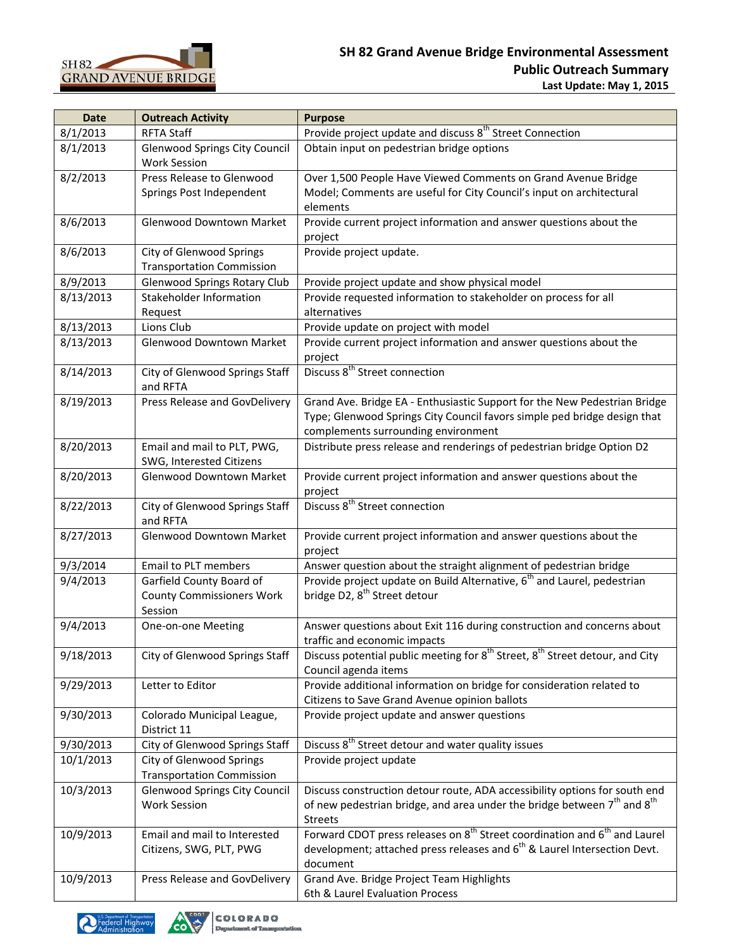

| <b>Date</b> | <b>Outreach Activity</b>                                    | <b>Purpose</b>                                                                                       |
|-------------|-------------------------------------------------------------|------------------------------------------------------------------------------------------------------|
| 8/1/2013    | <b>RFTA Staff</b>                                           | Provide project update and discuss 8 <sup>th</sup> Street Connection                                 |
| 8/1/2013    | Glenwood Springs City Council                               | Obtain input on pedestrian bridge options                                                            |
|             | <b>Work Session</b>                                         |                                                                                                      |
| 8/2/2013    | Press Release to Glenwood                                   | Over 1,500 People Have Viewed Comments on Grand Avenue Bridge                                        |
|             | Springs Post Independent                                    | Model; Comments are useful for City Council's input on architectural                                 |
|             |                                                             | elements                                                                                             |
| 8/6/2013    | Glenwood Downtown Market                                    | Provide current project information and answer questions about the                                   |
|             |                                                             | project                                                                                              |
| 8/6/2013    | City of Glenwood Springs                                    | Provide project update.                                                                              |
|             | <b>Transportation Commission</b>                            |                                                                                                      |
| 8/9/2013    | <b>Glenwood Springs Rotary Club</b>                         | Provide project update and show physical model                                                       |
| 8/13/2013   | Stakeholder Information                                     | Provide requested information to stakeholder on process for all                                      |
|             | Request                                                     | alternatives                                                                                         |
| 8/13/2013   | Lions Club                                                  | Provide update on project with model                                                                 |
|             |                                                             |                                                                                                      |
| 8/13/2013   | Glenwood Downtown Market                                    | Provide current project information and answer questions about the                                   |
|             |                                                             | project<br>Discuss 8 <sup>th</sup> Street connection                                                 |
| 8/14/2013   | City of Glenwood Springs Staff                              |                                                                                                      |
|             | and RFTA                                                    |                                                                                                      |
| 8/19/2013   | Press Release and GovDelivery                               | Grand Ave. Bridge EA - Enthusiastic Support for the New Pedestrian Bridge                            |
|             |                                                             | Type; Glenwood Springs City Council favors simple ped bridge design that                             |
|             |                                                             | complements surrounding environment                                                                  |
| 8/20/2013   | Email and mail to PLT, PWG,                                 | Distribute press release and renderings of pedestrian bridge Option D2                               |
|             | SWG, Interested Citizens                                    |                                                                                                      |
| 8/20/2013   | Glenwood Downtown Market                                    | Provide current project information and answer questions about the                                   |
|             |                                                             | project                                                                                              |
| 8/22/2013   | City of Glenwood Springs Staff                              | Discuss 8 <sup>th</sup> Street connection                                                            |
|             | and RFTA                                                    |                                                                                                      |
| 8/27/2013   | Glenwood Downtown Market                                    | Provide current project information and answer questions about the                                   |
|             |                                                             | project                                                                                              |
| 9/3/2014    | Email to PLT members                                        | Answer question about the straight alignment of pedestrian bridge                                    |
| 9/4/2013    | Garfield County Board of                                    | Provide project update on Build Alternative, 6 <sup>th</sup> and Laurel, pedestrian                  |
|             | <b>County Commissioners Work</b>                            | bridge D2, 8 <sup>th</sup> Street detour                                                             |
|             | Session                                                     |                                                                                                      |
| 9/4/2013    | One-on-one Meeting                                          | Answer questions about Exit 116 during construction and concerns about                               |
|             |                                                             | traffic and economic impacts                                                                         |
| 9/18/2013   | City of Glenwood Springs Staff                              | Discuss potential public meeting for 8 <sup>th</sup> Street, 8 <sup>th</sup> Street detour, and City |
|             |                                                             | Council agenda items                                                                                 |
| 9/29/2013   | Letter to Editor                                            | Provide additional information on bridge for consideration related to                                |
|             |                                                             | Citizens to Save Grand Avenue opinion ballots                                                        |
| 9/30/2013   | Colorado Municipal League,                                  | Provide project update and answer questions                                                          |
|             | District 11                                                 |                                                                                                      |
| 9/30/2013   | City of Glenwood Springs Staff                              | Discuss 8 <sup>th</sup> Street detour and water quality issues                                       |
| 10/1/2013   | City of Glenwood Springs                                    | Provide project update                                                                               |
|             | <b>Transportation Commission</b>                            |                                                                                                      |
| 10/3/2013   |                                                             | Discuss construction detour route, ADA accessibility options for south end                           |
|             | <b>Glenwood Springs City Council</b><br><b>Work Session</b> | of new pedestrian bridge, and area under the bridge between 7 <sup>th</sup> and 8 <sup>th</sup>      |
|             |                                                             |                                                                                                      |
|             |                                                             | <b>Streets</b>                                                                                       |
| 10/9/2013   | Email and mail to Interested                                | Forward CDOT press releases on 8 <sup>th</sup> Street coordination and 6 <sup>th</sup> and Laurel    |
|             | Citizens, SWG, PLT, PWG                                     | development; attached press releases and 6 <sup>th</sup> & Laurel Intersection Devt.                 |
|             |                                                             | document                                                                                             |
| 10/9/2013   | Press Release and GovDelivery                               | Grand Ave. Bridge Project Team Highlights                                                            |
|             |                                                             | 6th & Laurel Evaluation Process                                                                      |



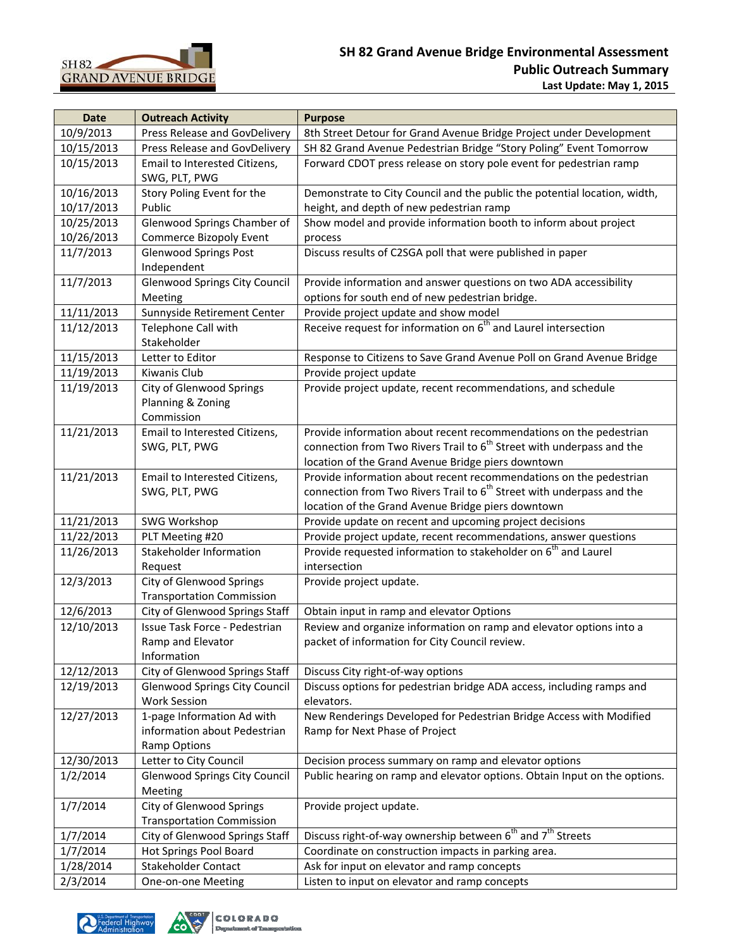

| <b>Date</b> | <b>Outreach Activity</b>                        | <b>Purpose</b>                                                                             |
|-------------|-------------------------------------------------|--------------------------------------------------------------------------------------------|
| 10/9/2013   | Press Release and GovDelivery                   | 8th Street Detour for Grand Avenue Bridge Project under Development                        |
| 10/15/2013  | Press Release and GovDelivery                   | SH 82 Grand Avenue Pedestrian Bridge "Story Poling" Event Tomorrow                         |
| 10/15/2013  | Email to Interested Citizens,                   | Forward CDOT press release on story pole event for pedestrian ramp                         |
|             | SWG, PLT, PWG                                   |                                                                                            |
| 10/16/2013  | Story Poling Event for the                      | Demonstrate to City Council and the public the potential location, width,                  |
| 10/17/2013  | Public                                          | height, and depth of new pedestrian ramp                                                   |
| 10/25/2013  | Glenwood Springs Chamber of                     | Show model and provide information booth to inform about project                           |
| 10/26/2013  | <b>Commerce Bizopoly Event</b>                  | process                                                                                    |
| 11/7/2013   | <b>Glenwood Springs Post</b>                    | Discuss results of C2SGA poll that were published in paper                                 |
|             | Independent                                     |                                                                                            |
| 11/7/2013   | <b>Glenwood Springs City Council</b>            | Provide information and answer questions on two ADA accessibility                          |
|             | Meeting                                         | options for south end of new pedestrian bridge.                                            |
| 11/11/2013  | Sunnyside Retirement Center                     | Provide project update and show model                                                      |
| 11/12/2013  | Telephone Call with<br>Stakeholder              | Receive request for information on 6 <sup>th</sup> and Laurel intersection                 |
| 11/15/2013  | Letter to Editor                                | Response to Citizens to Save Grand Avenue Poll on Grand Avenue Bridge                      |
| 11/19/2013  | Kiwanis Club                                    | Provide project update                                                                     |
| 11/19/2013  | City of Glenwood Springs                        | Provide project update, recent recommendations, and schedule                               |
|             | Planning & Zoning                               |                                                                                            |
|             | Commission                                      |                                                                                            |
| 11/21/2013  | Email to Interested Citizens,                   | Provide information about recent recommendations on the pedestrian                         |
|             | SWG, PLT, PWG                                   | connection from Two Rivers Trail to $6th$ Street with underpass and the                    |
|             |                                                 | location of the Grand Avenue Bridge piers downtown                                         |
| 11/21/2013  | Email to Interested Citizens,                   | Provide information about recent recommendations on the pedestrian                         |
|             | SWG, PLT, PWG                                   | connection from Two Rivers Trail to $6th$ Street with underpass and the                    |
|             |                                                 | location of the Grand Avenue Bridge piers downtown                                         |
| 11/21/2013  | SWG Workshop                                    | Provide update on recent and upcoming project decisions                                    |
| 11/22/2013  | PLT Meeting #20                                 | Provide project update, recent recommendations, answer questions                           |
| 11/26/2013  | Stakeholder Information<br>Request              | Provide requested information to stakeholder on 6 <sup>th</sup> and Laurel<br>intersection |
| 12/3/2013   | City of Glenwood Springs                        | Provide project update.                                                                    |
|             | <b>Transportation Commission</b>                |                                                                                            |
| 12/6/2013   | City of Glenwood Springs Staff                  | Obtain input in ramp and elevator Options                                                  |
| 12/10/2013  | Issue Task Force - Pedestrian                   | Review and organize information on ramp and elevator options into a                        |
|             | Ramp and Elevator                               | packet of information for City Council review.                                             |
|             | Information                                     |                                                                                            |
| 12/12/2013  | City of Glenwood Springs Staff                  | Discuss City right-of-way options                                                          |
| 12/19/2013  | <b>Glenwood Springs City Council</b>            | Discuss options for pedestrian bridge ADA access, including ramps and                      |
|             | <b>Work Session</b>                             | elevators.                                                                                 |
| 12/27/2013  | 1-page Information Ad with                      | New Renderings Developed for Pedestrian Bridge Access with Modified                        |
|             | information about Pedestrian                    | Ramp for Next Phase of Project                                                             |
|             | <b>Ramp Options</b>                             |                                                                                            |
| 12/30/2013  | Letter to City Council                          | Decision process summary on ramp and elevator options                                      |
| 1/2/2014    | <b>Glenwood Springs City Council</b><br>Meeting | Public hearing on ramp and elevator options. Obtain Input on the options.                  |
| 1/7/2014    | City of Glenwood Springs                        | Provide project update.                                                                    |
|             | <b>Transportation Commission</b>                |                                                                                            |
| 1/7/2014    | City of Glenwood Springs Staff                  | Discuss right-of-way ownership between $\overline{6}^{th}$ and $7^{th}$ Streets            |
| 1/7/2014    | Hot Springs Pool Board                          | Coordinate on construction impacts in parking area.                                        |
| 1/28/2014   | <b>Stakeholder Contact</b>                      | Ask for input on elevator and ramp concepts                                                |
| 2/3/2014    | One-on-one Meeting                              | Listen to input on elevator and ramp concepts                                              |

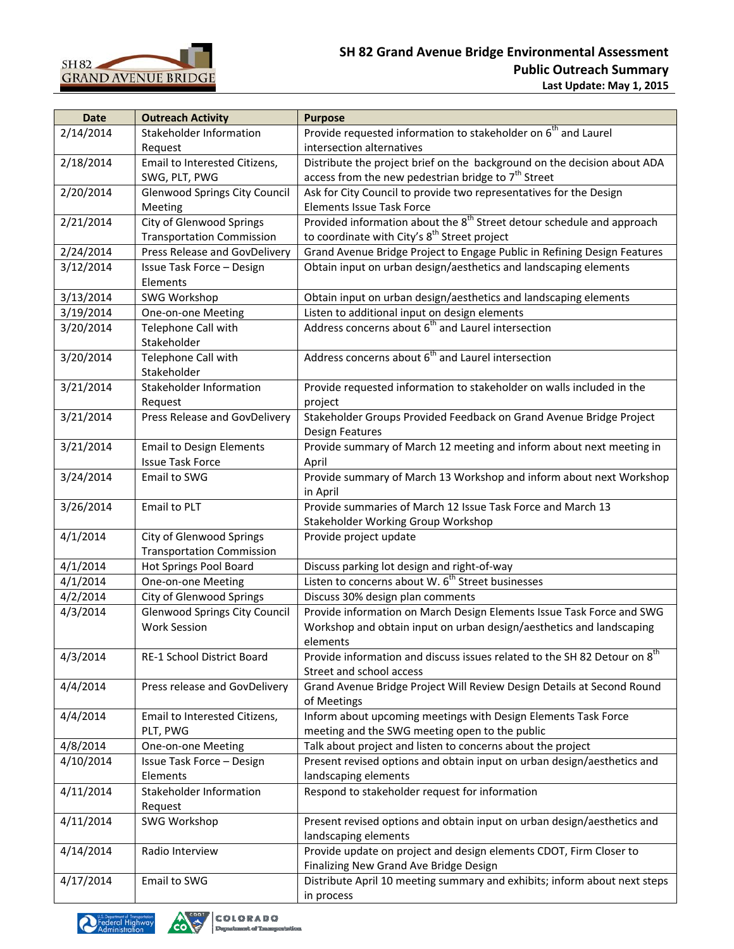

| <b>Date</b> | <b>Outreach Activity</b>             | <b>Purpose</b>                                                                                               |
|-------------|--------------------------------------|--------------------------------------------------------------------------------------------------------------|
| 2/14/2014   | Stakeholder Information              | Provide requested information to stakeholder on 6 <sup>th</sup> and Laurel                                   |
|             | Request                              | intersection alternatives                                                                                    |
| 2/18/2014   | Email to Interested Citizens,        | Distribute the project brief on the background on the decision about ADA                                     |
|             | SWG, PLT, PWG                        | access from the new pedestrian bridge to $7th$ Street                                                        |
| 2/20/2014   | <b>Glenwood Springs City Council</b> | Ask for City Council to provide two representatives for the Design                                           |
|             | Meeting                              | <b>Elements Issue Task Force</b>                                                                             |
| 2/21/2014   | City of Glenwood Springs             | Provided information about the 8 <sup>th</sup> Street detour schedule and approach                           |
|             | <b>Transportation Commission</b>     | to coordinate with City's 8 <sup>th</sup> Street project                                                     |
| 2/24/2014   | Press Release and GovDelivery        | Grand Avenue Bridge Project to Engage Public in Refining Design Features                                     |
| 3/12/2014   | Issue Task Force - Design            | Obtain input on urban design/aesthetics and landscaping elements                                             |
|             | Elements                             |                                                                                                              |
| 3/13/2014   | SWG Workshop                         | Obtain input on urban design/aesthetics and landscaping elements                                             |
| 3/19/2014   | One-on-one Meeting                   | Listen to additional input on design elements                                                                |
| 3/20/2014   | Telephone Call with                  | Address concerns about 6 <sup>th</sup> and Laurel intersection                                               |
|             | Stakeholder                          |                                                                                                              |
| 3/20/2014   | Telephone Call with                  | Address concerns about 6 <sup>th</sup> and Laurel intersection                                               |
|             | Stakeholder                          |                                                                                                              |
| 3/21/2014   | Stakeholder Information              | Provide requested information to stakeholder on walls included in the                                        |
|             | Request                              | project                                                                                                      |
| 3/21/2014   | <b>Press Release and GovDelivery</b> | Stakeholder Groups Provided Feedback on Grand Avenue Bridge Project                                          |
|             |                                      | <b>Design Features</b>                                                                                       |
| 3/21/2014   | <b>Email to Design Elements</b>      | Provide summary of March 12 meeting and inform about next meeting in                                         |
|             | <b>Issue Task Force</b>              | April                                                                                                        |
| 3/24/2014   | Email to SWG                         | Provide summary of March 13 Workshop and inform about next Workshop                                          |
|             |                                      |                                                                                                              |
|             | Email to PLT                         | in April<br>Provide summaries of March 12 Issue Task Force and March 13                                      |
| 3/26/2014   |                                      |                                                                                                              |
| 4/1/2014    |                                      | Stakeholder Working Group Workshop                                                                           |
|             | City of Glenwood Springs             | Provide project update                                                                                       |
|             | <b>Transportation Commission</b>     |                                                                                                              |
| 4/1/2014    | Hot Springs Pool Board               | Discuss parking lot design and right-of-way<br>Listen to concerns about W. 6 <sup>th</sup> Street businesses |
| 4/1/2014    | One-on-one Meeting                   |                                                                                                              |
| 4/2/2014    | City of Glenwood Springs             | Discuss 30% design plan comments                                                                             |
| 4/3/2014    | <b>Glenwood Springs City Council</b> | Provide information on March Design Elements Issue Task Force and SWG                                        |
|             | <b>Work Session</b>                  | Workshop and obtain input on urban design/aesthetics and landscaping                                         |
|             |                                      | elements                                                                                                     |
| 4/3/2014    | RE-1 School District Board           | Provide information and discuss issues related to the SH 82 Detour on 8 <sup>th</sup>                        |
|             |                                      | Street and school access                                                                                     |
| 4/4/2014    | Press release and GovDelivery        | Grand Avenue Bridge Project Will Review Design Details at Second Round                                       |
|             |                                      | of Meetings                                                                                                  |
| 4/4/2014    | Email to Interested Citizens,        | Inform about upcoming meetings with Design Elements Task Force                                               |
|             | PLT, PWG                             | meeting and the SWG meeting open to the public                                                               |
| 4/8/2014    | One-on-one Meeting                   | Talk about project and listen to concerns about the project                                                  |
| 4/10/2014   | Issue Task Force - Design            | Present revised options and obtain input on urban design/aesthetics and                                      |
|             | Elements                             | landscaping elements                                                                                         |
| 4/11/2014   | Stakeholder Information              | Respond to stakeholder request for information                                                               |
|             | Request                              |                                                                                                              |
| 4/11/2014   | SWG Workshop                         | Present revised options and obtain input on urban design/aesthetics and                                      |
|             |                                      | landscaping elements                                                                                         |
| 4/14/2014   | Radio Interview                      | Provide update on project and design elements CDOT, Firm Closer to                                           |
|             |                                      | Finalizing New Grand Ave Bridge Design                                                                       |
| 4/17/2014   | Email to SWG                         | Distribute April 10 meeting summary and exhibits; inform about next steps                                    |
|             |                                      | in process                                                                                                   |

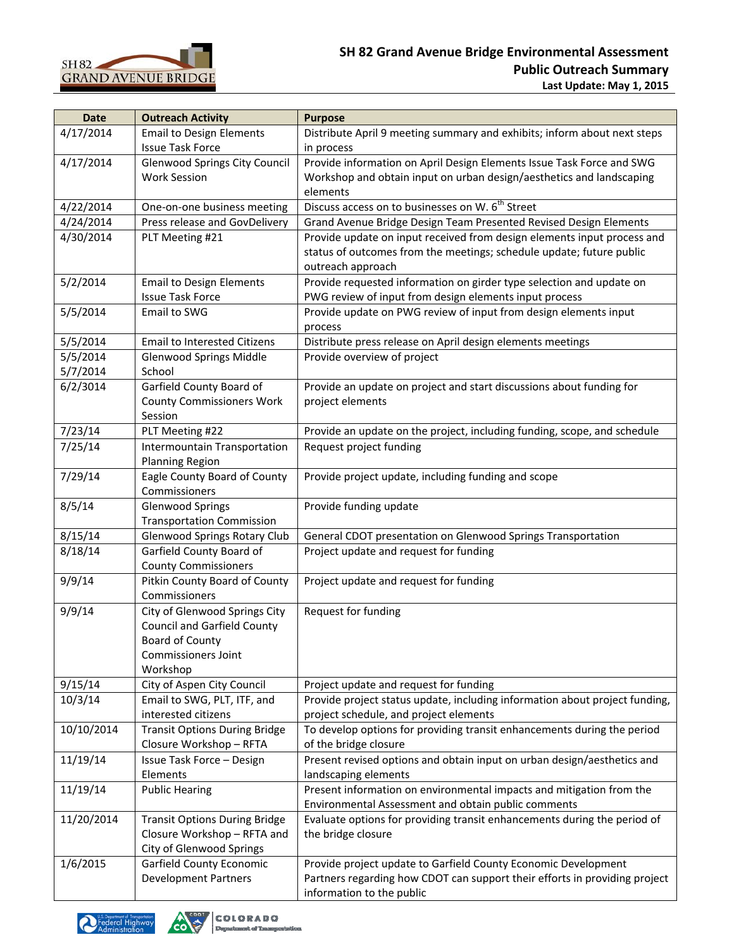

| <b>Date</b> | <b>Outreach Activity</b>             | <b>Purpose</b>                                                              |
|-------------|--------------------------------------|-----------------------------------------------------------------------------|
| 4/17/2014   | <b>Email to Design Elements</b>      | Distribute April 9 meeting summary and exhibits; inform about next steps    |
|             | <b>Issue Task Force</b>              | in process                                                                  |
| 4/17/2014   | <b>Glenwood Springs City Council</b> | Provide information on April Design Elements Issue Task Force and SWG       |
|             | <b>Work Session</b>                  | Workshop and obtain input on urban design/aesthetics and landscaping        |
|             |                                      | elements                                                                    |
| 4/22/2014   | One-on-one business meeting          | Discuss access on to businesses on W. 6 <sup>th</sup> Street                |
| 4/24/2014   | Press release and GovDelivery        | Grand Avenue Bridge Design Team Presented Revised Design Elements           |
| 4/30/2014   | PLT Meeting #21                      | Provide update on input received from design elements input process and     |
|             |                                      | status of outcomes from the meetings; schedule update; future public        |
|             |                                      | outreach approach                                                           |
| 5/2/2014    | <b>Email to Design Elements</b>      | Provide requested information on girder type selection and update on        |
|             | <b>Issue Task Force</b>              | PWG review of input from design elements input process                      |
| 5/5/2014    | Email to SWG                         | Provide update on PWG review of input from design elements input            |
|             |                                      | process                                                                     |
| 5/5/2014    | <b>Email to Interested Citizens</b>  | Distribute press release on April design elements meetings                  |
| 5/5/2014    | <b>Glenwood Springs Middle</b>       | Provide overview of project                                                 |
| 5/7/2014    | School                               |                                                                             |
| 6/2/3014    | Garfield County Board of             | Provide an update on project and start discussions about funding for        |
|             | <b>County Commissioners Work</b>     | project elements                                                            |
|             | Session                              |                                                                             |
| 7/23/14     | PLT Meeting #22                      | Provide an update on the project, including funding, scope, and schedule    |
| 7/25/14     | Intermountain Transportation         | Request project funding                                                     |
|             | Planning Region                      |                                                                             |
| 7/29/14     | Eagle County Board of County         | Provide project update, including funding and scope                         |
|             | Commissioners                        |                                                                             |
| 8/5/14      | <b>Glenwood Springs</b>              | Provide funding update                                                      |
|             | <b>Transportation Commission</b>     |                                                                             |
| 8/15/14     | <b>Glenwood Springs Rotary Club</b>  | General CDOT presentation on Glenwood Springs Transportation                |
| 8/18/14     | Garfield County Board of             | Project update and request for funding                                      |
|             | <b>County Commissioners</b>          |                                                                             |
| 9/9/14      | Pitkin County Board of County        | Project update and request for funding                                      |
|             | Commissioners                        |                                                                             |
| 9/9/14      | City of Glenwood Springs City        | Request for funding                                                         |
|             | <b>Council and Garfield County</b>   |                                                                             |
|             | Board of County                      |                                                                             |
|             | <b>Commissioners Joint</b>           |                                                                             |
|             | Workshop                             |                                                                             |
| 9/15/14     | City of Aspen City Council           | Project update and request for funding                                      |
| 10/3/14     | Email to SWG, PLT, ITF, and          | Provide project status update, including information about project funding, |
|             | interested citizens                  | project schedule, and project elements                                      |
| 10/10/2014  | <b>Transit Options During Bridge</b> | To develop options for providing transit enhancements during the period     |
|             | Closure Workshop - RFTA              | of the bridge closure                                                       |
| 11/19/14    | Issue Task Force - Design            | Present revised options and obtain input on urban design/aesthetics and     |
|             | Elements                             | landscaping elements                                                        |
| 11/19/14    | <b>Public Hearing</b>                | Present information on environmental impacts and mitigation from the        |
|             |                                      | Environmental Assessment and obtain public comments                         |
| 11/20/2014  | <b>Transit Options During Bridge</b> | Evaluate options for providing transit enhancements during the period of    |
|             | Closure Workshop - RFTA and          | the bridge closure                                                          |
|             | City of Glenwood Springs             |                                                                             |
| 1/6/2015    | Garfield County Economic             | Provide project update to Garfield County Economic Development              |
|             | <b>Development Partners</b>          | Partners regarding how CDOT can support their efforts in providing project  |
|             |                                      | information to the public                                                   |